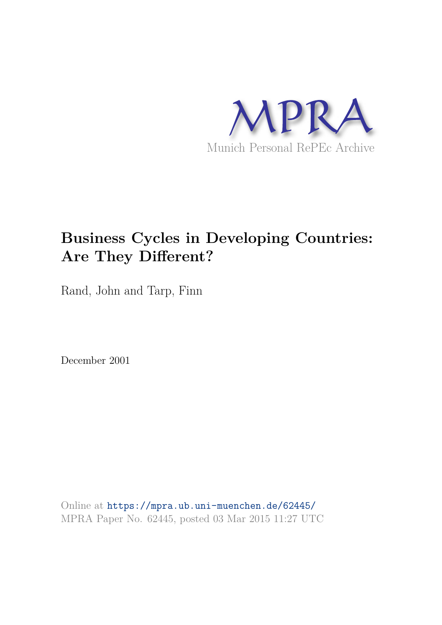

# **Business Cycles in Developing Countries: Are They Different?**

Rand, John and Tarp, Finn

December 2001

Online at https://mpra.ub.uni-muenchen.de/62445/ MPRA Paper No. 62445, posted 03 Mar 2015 11:27 UTC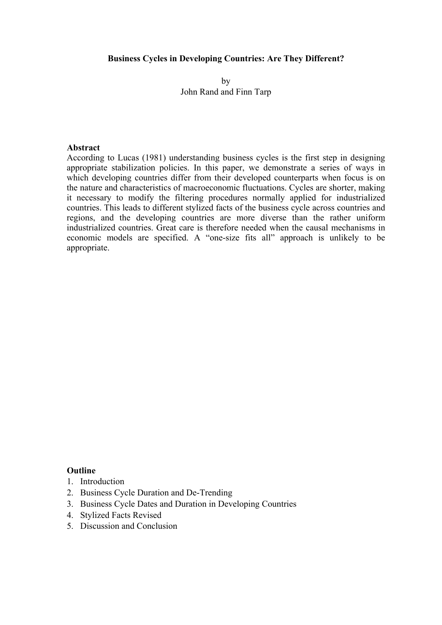# **Business Cycles in Developing Countries: Are They Different?**

by John Rand and Finn Tarp

#### **Abstract**

According to Lucas (1981) understanding business cycles is the first step in designing appropriate stabilization policies. In this paper, we demonstrate a series of ways in which developing countries differ from their developed counterparts when focus is on the nature and characteristics of macroeconomic fluctuations. Cycles are shorter, making it necessary to modify the filtering procedures normally applied for industrialized countries. This leads to different stylized facts of the business cycle across countries and regions, and the developing countries are more diverse than the rather uniform industrialized countries. Great care is therefore needed when the causal mechanisms in economic models are specified. A "one-size fits all" approach is unlikely to be appropriate.

# **Outline**

- 1. Introduction
- 2. Business Cycle Duration and De-Trending
- 3. Business Cycle Dates and Duration in Developing Countries
- 4. Stylized Facts Revised
- 5. Discussion and Conclusion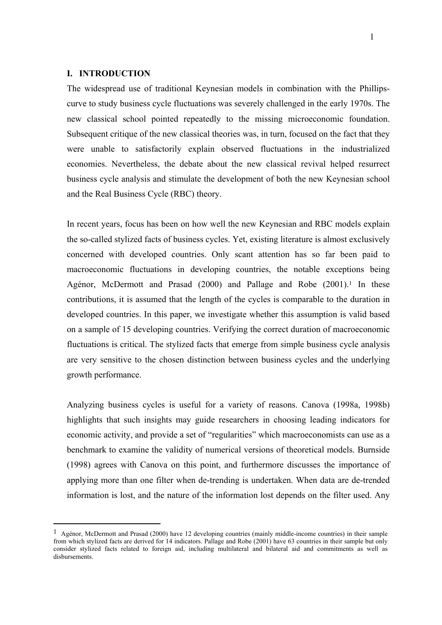#### **I. INTRODUCTION**

 $\overline{a}$ 

The widespread use of traditional Keynesian models in combination with the Phillipscurve to study business cycle fluctuations was severely challenged in the early 1970s. The new classical school pointed repeatedly to the missing microeconomic foundation. Subsequent critique of the new classical theories was, in turn, focused on the fact that they were unable to satisfactorily explain observed fluctuations in the industrialized economies. Nevertheless, the debate about the new classical revival helped resurrect business cycle analysis and stimulate the development of both the new Keynesian school and the Real Business Cycle (RBC) theory.

In recent years, focus has been on how well the new Keynesian and RBC models explain the so-called stylized facts of business cycles. Yet, existing literature is almost exclusively concerned with developed countries. Only scant attention has so far been paid to macroeconomic fluctuations in developing countries, the notable exceptions being Agénor, McDermott and Prasad (2000) and Pallage and Robe (2001).<sup>1</sup> In these contributions, it is assumed that the length of the cycles is comparable to the duration in developed countries. In this paper, we investigate whether this assumption is valid based on a sample of 15 developing countries. Verifying the correct duration of macroeconomic fluctuations is critical. The stylized facts that emerge from simple business cycle analysis are very sensitive to the chosen distinction between business cycles and the underlying growth performance.

Analyzing business cycles is useful for a variety of reasons. Canova (1998a, 1998b) highlights that such insights may guide researchers in choosing leading indicators for economic activity, and provide a set of "regularities" which macroeconomists can use as a benchmark to examine the validity of numerical versions of theoretical models. Burnside (1998) agrees with Canova on this point, and furthermore discusses the importance of applying more than one filter when de-trending is undertaken. When data are de-trended information is lost, and the nature of the information lost depends on the filter used. Any

 $<sup>1</sup>$  Agénor, McDermott and Prasad (2000) have 12 developing countries (mainly middle-income countries) in their sample</sup> from which stylized facts are derived for 14 indicators. Pallage and Robe (2001) have 63 countries in their sample but only consider stylized facts related to foreign aid, including multilateral and bilateral aid and commitments as well as disbursements.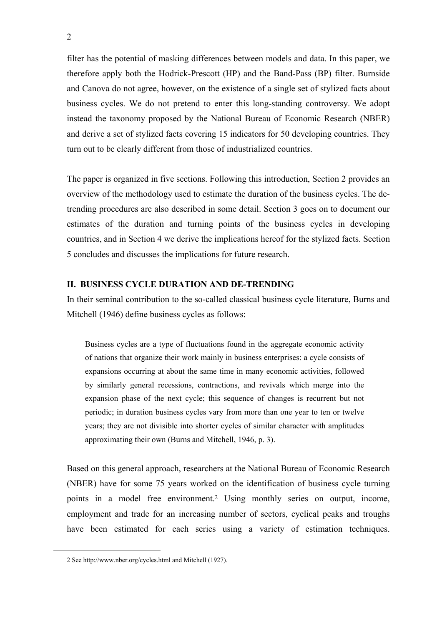filter has the potential of masking differences between models and data. In this paper, we therefore apply both the Hodrick-Prescott (HP) and the Band-Pass (BP) filter. Burnside and Canova do not agree, however, on the existence of a single set of stylized facts about business cycles. We do not pretend to enter this long-standing controversy. We adopt instead the taxonomy proposed by the National Bureau of Economic Research (NBER) and derive a set of stylized facts covering 15 indicators for 50 developing countries. They turn out to be clearly different from those of industrialized countries.

The paper is organized in five sections. Following this introduction, Section 2 provides an overview of the methodology used to estimate the duration of the business cycles. The detrending procedures are also described in some detail. Section 3 goes on to document our estimates of the duration and turning points of the business cycles in developing countries, and in Section 4 we derive the implications hereof for the stylized facts. Section 5 concludes and discusses the implications for future research.

# **II. BUSINESS CYCLE DURATION AND DE-TRENDING**

In their seminal contribution to the so-called classical business cycle literature, Burns and Mitchell (1946) define business cycles as follows:

Business cycles are a type of fluctuations found in the aggregate economic activity of nations that organize their work mainly in business enterprises: a cycle consists of expansions occurring at about the same time in many economic activities, followed by similarly general recessions, contractions, and revivals which merge into the expansion phase of the next cycle; this sequence of changes is recurrent but not periodic; in duration business cycles vary from more than one year to ten or twelve years; they are not divisible into shorter cycles of similar character with amplitudes approximating their own (Burns and Mitchell, 1946, p. 3).

Based on this general approach, researchers at the National Bureau of Economic Research (NBER) have for some 75 years worked on the identification of business cycle turning points in a model free environment.<sup>2</sup> Using monthly series on output, income, employment and trade for an increasing number of sectors, cyclical peaks and troughs have been estimated for each series using a variety of estimation techniques.

<sup>2</sup> See http://www.nber.org/cycles.html and Mitchell (1927).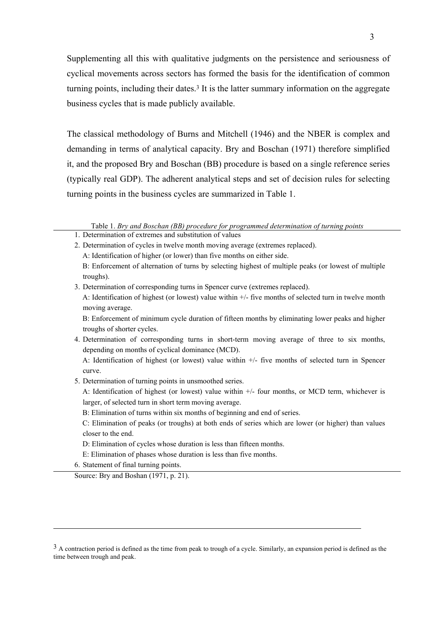Supplementing all this with qualitative judgments on the persistence and seriousness of cyclical movements across sectors has formed the basis for the identification of common turning points, including their dates.<sup>3</sup> It is the latter summary information on the aggregate business cycles that is made publicly available.

The classical methodology of Burns and Mitchell (1946) and the NBER is complex and demanding in terms of analytical capacity. Bry and Boschan (1971) therefore simplified it, and the proposed Bry and Boschan (BB) procedure is based on a single reference series (typically real GDP). The adherent analytical steps and set of decision rules for selecting turning points in the business cycles are summarized in Table 1.

Table 1. *Bry and Boschan (BB) procedure for programmed determination of turning points*

- 1. Determination of extremes and substitution of values
- 2. Determination of cycles in twelve month moving average (extremes replaced).

A: Identification of higher (or lower) than five months on either side.

B: Enforcement of alternation of turns by selecting highest of multiple peaks (or lowest of multiple troughs).

3. Determination of corresponding turns in Spencer curve (extremes replaced). A: Identification of highest (or lowest) value within +/- five months of selected turn in twelve month moving average.

B: Enforcement of minimum cycle duration of fifteen months by eliminating lower peaks and higher troughs of shorter cycles.

4. Determination of corresponding turns in short-term moving average of three to six months, depending on months of cyclical dominance (MCD).

A: Identification of highest (or lowest) value within +/- five months of selected turn in Spencer curve.

5. Determination of turning points in unsmoothed series.

A: Identification of highest (or lowest) value within +/- four months, or MCD term, whichever is larger, of selected turn in short term moving average.

B: Elimination of turns within six months of beginning and end of series.

C: Elimination of peaks (or troughs) at both ends of series which are lower (or higher) than values closer to the end.

- D: Elimination of cycles whose duration is less than fifteen months.
- E: Elimination of phases whose duration is less than five months.
- 6. Statement of final turning points.

 $\overline{a}$ 

Source: Bry and Boshan (1971, p. 21).

<sup>&</sup>lt;sup>3</sup> A contraction period is defined as the time from peak to trough of a cycle. Similarly, an expansion period is defined as the time between trough and peak.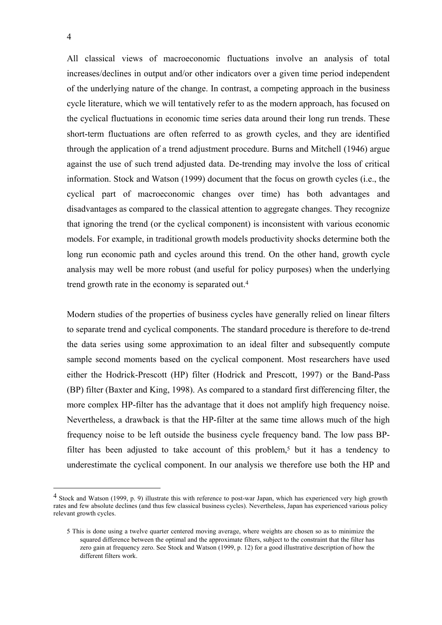All classical views of macroeconomic fluctuations involve an analysis of total increases/declines in output and/or other indicators over a given time period independent of the underlying nature of the change. In contrast, a competing approach in the business cycle literature, which we will tentatively refer to as the modern approach, has focused on the cyclical fluctuations in economic time series data around their long run trends. These short-term fluctuations are often referred to as growth cycles, and they are identified through the application of a trend adjustment procedure. Burns and Mitchell (1946) argue against the use of such trend adjusted data. De-trending may involve the loss of critical information. Stock and Watson (1999) document that the focus on growth cycles (i.e., the cyclical part of macroeconomic changes over time) has both advantages and disadvantages as compared to the classical attention to aggregate changes. They recognize that ignoring the trend (or the cyclical component) is inconsistent with various economic models. For example, in traditional growth models productivity shocks determine both the long run economic path and cycles around this trend. On the other hand, growth cycle analysis may well be more robust (and useful for policy purposes) when the underlying trend growth rate in the economy is separated out.<sup>4</sup>

Modern studies of the properties of business cycles have generally relied on linear filters to separate trend and cyclical components. The standard procedure is therefore to de-trend the data series using some approximation to an ideal filter and subsequently compute sample second moments based on the cyclical component. Most researchers have used either the Hodrick-Prescott (HP) filter (Hodrick and Prescott, 1997) or the Band-Pass (BP) filter (Baxter and King, 1998). As compared to a standard first differencing filter, the more complex HP-filter has the advantage that it does not amplify high frequency noise. Nevertheless, a drawback is that the HP-filter at the same time allows much of the high frequency noise to be left outside the business cycle frequency band. The low pass BPfilter has been adjusted to take account of this problem,<sup>5</sup> but it has a tendency to underestimate the cyclical component. In our analysis we therefore use both the HP and

<sup>4</sup> Stock and Watson (1999, p. 9) illustrate this with reference to post-war Japan, which has experienced very high growth rates and few absolute declines (and thus few classical business cycles). Nevertheless, Japan has experienced various policy relevant growth cycles.

<sup>5</sup> This is done using a twelve quarter centered moving average, where weights are chosen so as to minimize the squared difference between the optimal and the approximate filters, subject to the constraint that the filter has zero gain at frequency zero. See Stock and Watson (1999, p. 12) for a good illustrative description of how the different filters work.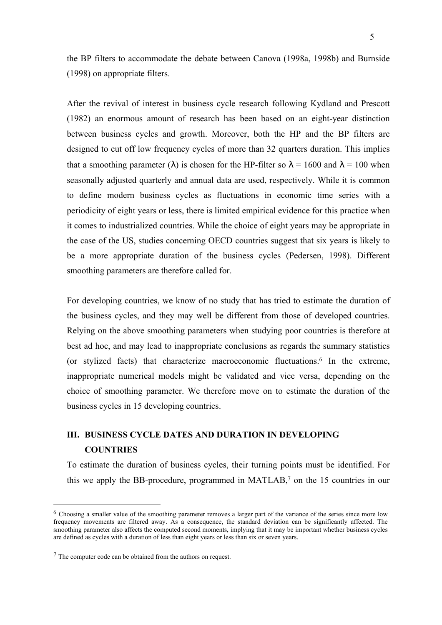the BP filters to accommodate the debate between Canova (1998a, 1998b) and Burnside (1998) on appropriate filters.

After the revival of interest in business cycle research following Kydland and Prescott (1982) an enormous amount of research has been based on an eight-year distinction between business cycles and growth. Moreover, both the HP and the BP filters are designed to cut off low frequency cycles of more than 32 quarters duration. This implies that a smoothing parameter ( $\lambda$ ) is chosen for the HP-filter so  $\lambda = 1600$  and  $\lambda = 100$  when seasonally adjusted quarterly and annual data are used, respectively. While it is common to define modern business cycles as fluctuations in economic time series with a periodicity of eight years or less, there is limited empirical evidence for this practice when it comes to industrialized countries. While the choice of eight years may be appropriate in the case of the US, studies concerning OECD countries suggest that six years is likely to be a more appropriate duration of the business cycles (Pedersen, 1998). Different smoothing parameters are therefore called for.

For developing countries, we know of no study that has tried to estimate the duration of the business cycles, and they may well be different from those of developed countries. Relying on the above smoothing parameters when studying poor countries is therefore at best ad hoc, and may lead to inappropriate conclusions as regards the summary statistics (or stylized facts) that characterize macroeconomic fluctuations.<sup>6</sup> In the extreme, inappropriate numerical models might be validated and vice versa, depending on the choice of smoothing parameter. We therefore move on to estimate the duration of the business cycles in 15 developing countries.

# **III. BUSINESS CYCLE DATES AND DURATION IN DEVELOPING COUNTRIES**

To estimate the duration of business cycles, their turning points must be identified. For this we apply the BB-procedure, programmed in MATLAB,<sup>7</sup> on the 15 countries in our

<sup>6</sup> Choosing a smaller value of the smoothing parameter removes a larger part of the variance of the series since more low frequency movements are filtered away. As a consequence, the standard deviation can be significantly affected. The smoothing parameter also affects the computed second moments, implying that it may be important whether business cycles are defined as cycles with a duration of less than eight years or less than six or seven years.

<sup>7</sup> The computer code can be obtained from the authors on request.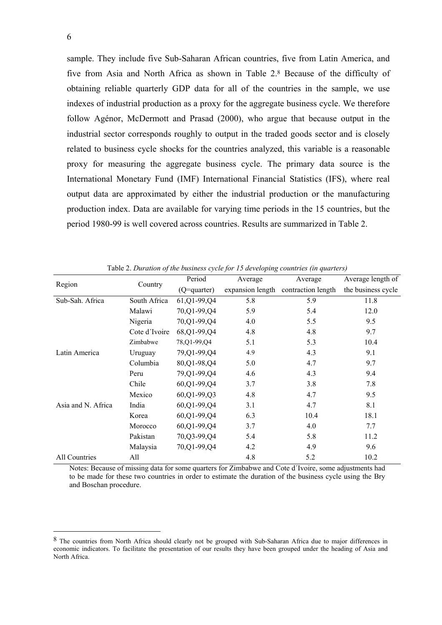sample. They include five Sub-Saharan African countries, five from Latin America, and five from Asia and North Africa as shown in Table 2.<sup>8</sup> Because of the difficulty of obtaining reliable quarterly GDP data for all of the countries in the sample, we use indexes of industrial production as a proxy for the aggregate business cycle. We therefore follow Agénor, McDermott and Prasad (2000), who argue that because output in the industrial sector corresponds roughly to output in the traded goods sector and is closely related to business cycle shocks for the countries analyzed, this variable is a reasonable proxy for measuring the aggregate business cycle. The primary data source is the International Monetary Fund (IMF) International Financial Statistics (IFS), where real output data are approximated by either the industrial production or the manufacturing production index. Data are available for varying time periods in the 15 countries, but the period 1980-99 is well covered across countries. Results are summarized in Table 2.

| Region             |               | Period        | Average | Average                             | Average length of  |
|--------------------|---------------|---------------|---------|-------------------------------------|--------------------|
|                    | Country       | (Q=quarter)   |         | expansion length contraction length | the business cycle |
| Sub-Sah. Africa    | South Africa  | 61, Q1-99, Q4 | 5.8     | 5.9                                 | 11.8               |
|                    | Malawi        | 70, Q1-99, Q4 | 5.9     | 5.4                                 | 12.0               |
|                    | Nigeria       | 70, Q1-99, Q4 | 4.0     | 5.5                                 | 9.5                |
|                    | Cote d'Ivoire | 68, Q1-99, Q4 | 4.8     | 4.8                                 | 9.7                |
|                    | Zimbabwe      | 78, Q1-99, Q4 | 5.1     | 5.3                                 | 10.4               |
| Latin America      | Uruguay       | 79, Q1-99, Q4 | 4.9     | 4.3                                 | 9.1                |
|                    | Columbia      | 80, Q1-98, Q4 | 5.0     | 4.7                                 | 9.7                |
|                    | Peru          | 79, Q1-99, Q4 | 4.6     | 4.3                                 | 9.4                |
|                    | Chile         | 60, Q1-99, Q4 | 3.7     | 3.8                                 | 7.8                |
|                    | Mexico        | 60, Q1-99, Q3 | 4.8     | 4.7                                 | 9.5                |
| Asia and N. Africa | India         | 60, Q1-99, Q4 | 3.1     | 4.7                                 | 8.1                |
|                    | Korea         | 60, Q1-99, Q4 | 6.3     | 10.4                                | 18.1               |
|                    | Morocco       | 60, Q1-99, Q4 | 3.7     | 4.0                                 | 7.7                |
|                    | Pakistan      | 70, Q3-99, Q4 | 5.4     | 5.8                                 | 11.2               |
|                    | Malaysia      | 70, Q1-99, Q4 | 4.2     | 4.9                                 | 9.6                |
| All Countries      | All           |               | 4.8     | 5.2                                 | 10.2               |

Table 2. *Duration of the business cycle for 15 developing countries (in quarters)*

Notes: Because of missing data for some quarters for Zimbabwe and Cote d´Ivoire, some adjustments had to be made for these two countries in order to estimate the duration of the business cycle using the Bry and Boschan procedure.

<sup>8</sup> The countries from North Africa should clearly not be grouped with Sub-Saharan Africa due to major differences in economic indicators. To facilitate the presentation of our results they have been grouped under the heading of Asia and North Africa.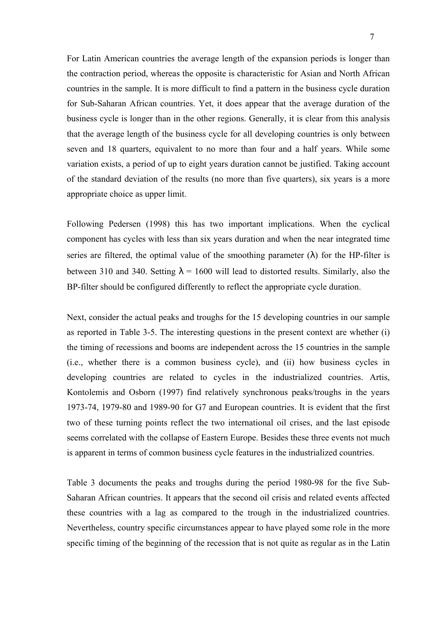For Latin American countries the average length of the expansion periods is longer than the contraction period, whereas the opposite is characteristic for Asian and North African countries in the sample. It is more difficult to find a pattern in the business cycle duration for Sub-Saharan African countries. Yet, it does appear that the average duration of the business cycle is longer than in the other regions. Generally, it is clear from this analysis that the average length of the business cycle for all developing countries is only between seven and 18 quarters, equivalent to no more than four and a half years. While some variation exists, a period of up to eight years duration cannot be justified. Taking account of the standard deviation of the results (no more than five quarters), six years is a more appropriate choice as upper limit.

Following Pedersen (1998) this has two important implications. When the cyclical component has cycles with less than six years duration and when the near integrated time series are filtered, the optimal value of the smoothing parameter  $(\lambda)$  for the HP-filter is between 310 and 340. Setting  $\lambda = 1600$  will lead to distorted results. Similarly, also the BP-filter should be configured differently to reflect the appropriate cycle duration.

Next, consider the actual peaks and troughs for the 15 developing countries in our sample as reported in Table 3-5. The interesting questions in the present context are whether (i) the timing of recessions and booms are independent across the 15 countries in the sample (i.e., whether there is a common business cycle), and (ii) how business cycles in developing countries are related to cycles in the industrialized countries. Artis, Kontolemis and Osborn (1997) find relatively synchronous peaks/troughs in the years 1973-74, 1979-80 and 1989-90 for G7 and European countries. It is evident that the first two of these turning points reflect the two international oil crises, and the last episode seems correlated with the collapse of Eastern Europe. Besides these three events not much is apparent in terms of common business cycle features in the industrialized countries.

Table 3 documents the peaks and troughs during the period 1980-98 for the five Sub-Saharan African countries. It appears that the second oil crisis and related events affected these countries with a lag as compared to the trough in the industrialized countries. Nevertheless, country specific circumstances appear to have played some role in the more specific timing of the beginning of the recession that is not quite as regular as in the Latin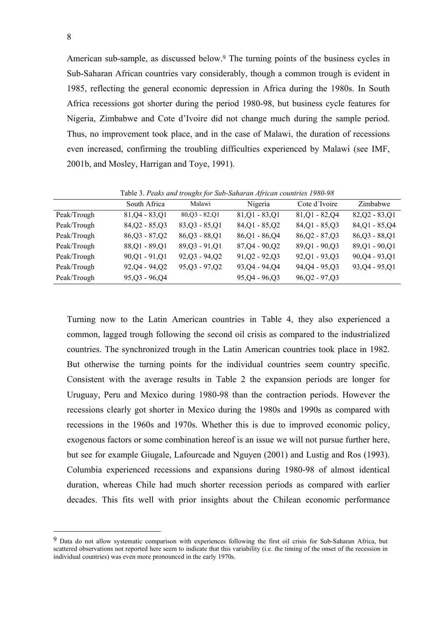American sub-sample, as discussed below.<sup>9</sup> The turning points of the business cycles in Sub-Saharan African countries vary considerably, though a common trough is evident in 1985, reflecting the general economic depression in Africa during the 1980s. In South Africa recessions got shorter during the period 1980-98, but business cycle features for Nigeria, Zimbabwe and Cote d'Ivoire did not change much during the sample period. Thus, no improvement took place, and in the case of Malawi, the duration of recessions even increased, confirming the troubling difficulties experienced by Malawi (see IMF, 2001b, and Mosley, Harrigan and Toye, 1991).

|             | South Africa      | Malawi            | Nigeria           | Cote d'Ivoire     | Zimbabwe          |
|-------------|-------------------|-------------------|-------------------|-------------------|-------------------|
| Peak/Trough | $81, Q4 - 83, Q1$ | $80,Q3 - 82,Q1$   | $81, Q1 - 83, Q1$ | $81, Q1 - 82, Q4$ | $82, Q2 - 83, Q1$ |
| Peak/Trough | $84, Q2 - 85, Q3$ | $83, Q3 - 85, Q1$ | $84, Q1 - 85, Q2$ | $84, Q1 - 85, Q3$ | $84, Q1 - 85, Q4$ |
| Peak/Trough | $86,Q3 - 87,Q2$   | $86,Q3 - 88,Q1$   | $86,Q1 - 86,Q4$   | $86, Q2 - 87, Q3$ | $86, Q3 - 88, Q1$ |
| Peak/Trough | $88, Q1 - 89, Q1$ | $89, Q3 - 91, Q1$ | $87, Q4 - 90, Q2$ | $89, Q1 - 90, Q3$ | $89, Q1 - 90, Q1$ |
| Peak/Trough | $90,Q1 - 91,Q1$   | $92, Q3 - 94, Q2$ | $91, Q2 - 92, Q3$ | $92, Q1 - 93, Q3$ | $90, Q4 - 93, Q1$ |
| Peak/Trough | $92, Q4 - 94, Q2$ | $95,Q3 - 97,Q2$   | 93, Q4 - 94, Q4   | $94, Q4 - 95, Q3$ | $93, Q4 - 95, Q1$ |
| Peak/Trough | $95,Q3 - 96,Q4$   |                   | $95,Q4 - 96,Q3$   | $96, Q2 - 97, Q3$ |                   |

Table 3. *Peaks and troughs for Sub-Saharan African countries 1980-98*

Turning now to the Latin American countries in Table 4, they also experienced a common, lagged trough following the second oil crisis as compared to the industrialized countries. The synchronized trough in the Latin American countries took place in 1982. But otherwise the turning points for the individual countries seem country specific. Consistent with the average results in Table 2 the expansion periods are longer for Uruguay, Peru and Mexico during 1980-98 than the contraction periods. However the recessions clearly got shorter in Mexico during the 1980s and 1990s as compared with recessions in the 1960s and 1970s. Whether this is due to improved economic policy, exogenous factors or some combination hereof is an issue we will not pursue further here, but see for example Giugale, Lafourcade and Nguyen (2001) and Lustig and Ros (1993). Columbia experienced recessions and expansions during 1980-98 of almost identical duration, whereas Chile had much shorter recession periods as compared with earlier decades. This fits well with prior insights about the Chilean economic performance

<sup>9</sup> Data do not allow systematic comparison with experiences following the first oil crisis for Sub-Saharan Africa, but scattered observations not reported here seem to indicate that this variability (i.e. the timing of the onset of the recession in individual countries) was even more pronounced in the early 1970s.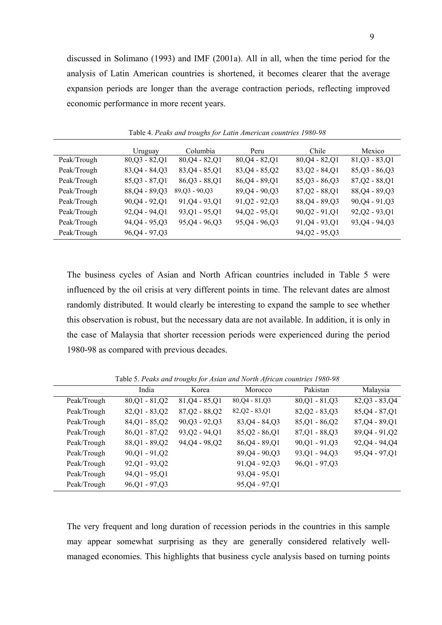discussed in Solimano (1993) and IMF (2001a). All in all, when the time period for the analysis of Latin American countries is shortened, it becomes clearer that the average expansion periods are longer than the average contraction periods, reflecting improved economic performance in more recent years.

|             | Uruguay           | Columbia          | Peru              | Chile             | Mexico            |
|-------------|-------------------|-------------------|-------------------|-------------------|-------------------|
| Peak/Trough | $80,Q3 - 82,Q1$   | $80,Q4 - 82,Q1$   | $80,Q4 - 82,Q1$   | $80, Q4 - 82, Q1$ | $81, Q3 - 83, Q1$ |
| Peak/Trough | $83, Q4 - 84, Q3$ | $83, Q4 - 85, Q1$ | $83, Q4 - 85, Q2$ | $83, Q2 - 84, Q1$ | $85,Q3 - 86,Q3$   |
| Peak/Trough | $85,Q3 - 87,Q1$   | $86, Q3 - 88, Q1$ | $86,04 - 89,01$   | $85, Q3 - 86, Q3$ | $87, Q2 - 88, Q1$ |
| Peak/Trough | $88, Q4 - 89, Q3$ | $89, Q3 - 90, Q3$ | $89, Q4 - 90, Q3$ | $87, Q2 - 88, Q1$ | $88, Q4 - 89, Q3$ |
| Peak/Trough | $90, Q4 - 92, Q1$ | $91, Q4 - 93, Q1$ | $91, Q2 - 92, Q3$ | $88, Q4 - 89, Q3$ | $90, Q4 - 91, Q3$ |
| Peak/Trough | $92, Q4 - 94, Q1$ | $93, Q1 - 95, Q1$ | $94, Q2 - 95, Q1$ | $90,02 - 91,01$   | $92, Q2 - 93, Q1$ |
| Peak/Trough | $94, Q4 - 95, Q3$ | $95.04 - 96.03$   | $95.04 - 96.03$   | $91, Q4 - 93, Q1$ | $93, Q4 - 94, Q3$ |
| Peak/Trough | $96, Q4 - 97, Q3$ |                   |                   | $94, Q2 - 95, Q3$ |                   |

Table 4. *Peaks and troughs for Latin American countries 1980-98*

The business cycles of Asian and North African countries included in Table 5 were influenced by the oil crisis at very different points in time. The relevant dates are almost randomly distributed. It would clearly be interesting to expand the sample to see whether this observation is robust, but the necessary data are not available. In addition, it is only in the case of Malaysia that shorter recession periods were experienced during the period 1980-98 as compared with previous decades.

|             | India             | Korea             | Morocco           | Pakistan          | Malaysia          |
|-------------|-------------------|-------------------|-------------------|-------------------|-------------------|
| Peak/Trough | $80,Q1 - 81,Q2$   | $81, Q4 - 85, Q1$ | $80, Q4 - 81, Q3$ | $80,Q1 - 81,Q3$   | $82, Q3 - 83, Q4$ |
| Peak/Trough | $82, Q1 - 83, Q2$ | $87, Q2 - 88, Q2$ | $82, Q2 - 83, Q1$ | $82, Q2 - 83, Q3$ | $85,Q4 - 87,Q1$   |
| Peak/Trough | $84, Q1 - 85, Q2$ | $90,Q3 - 92,Q3$   | $83,04 - 84,03$   | $85, Q1 - 86, Q2$ | $87, Q4 - 89, Q1$ |
| Peak/Trough | $86, Q1 - 87, Q2$ | $93, Q2 - 94, Q1$ | $85,Q2 - 86,Q1$   | $87, Q1 - 88, Q3$ | $89, Q4 - 91, Q2$ |
| Peak/Trough | 88, Q1 - 89, Q2   | $94,04 - 98,02$   | $86, Q4 - 89, Q1$ | $90,01 - 91,03$   | $92, Q4 - 94, Q4$ |
| Peak/Trough | $90, Q1 - 91, Q2$ |                   | $89, Q4 - 90, Q3$ | $93, Q1 - 94, Q3$ | $95,Q4 - 97,Q1$   |
| Peak/Trough | $92,01 - 93,02$   |                   | $91, Q4 - 92, Q3$ | $96, Q1 - 97, Q3$ |                   |
| Peak/Trough | $94, Q1 - 95, Q1$ |                   | $93, Q4 - 95, Q1$ |                   |                   |
| Peak/Trough | $96, Q1 - 97, Q3$ |                   | 95,04 - 97,01     |                   |                   |

Table 5. *Peaks and troughs for Asian and North African countries 1980-98*

The very frequent and long duration of recession periods in the countries in this sample may appear somewhat surprising as they are generally considered relatively wellmanaged economies. This highlights that business cycle analysis based on turning points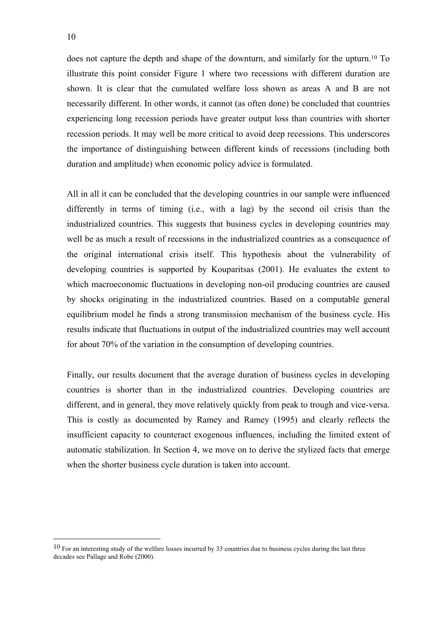does not capture the depth and shape of the downturn, and similarly for the upturn.10 To illustrate this point consider Figure 1 where two recessions with different duration are shown. It is clear that the cumulated welfare loss shown as areas A and B are not necessarily different. In other words, it cannot (as often done) be concluded that countries experiencing long recession periods have greater output loss than countries with shorter recession periods. It may well be more critical to avoid deep recessions. This underscores the importance of distinguishing between different kinds of recessions (including both duration and amplitude) when economic policy advice is formulated.

All in all it can be concluded that the developing countries in our sample were influenced differently in terms of timing (i.e., with a lag) by the second oil crisis than the industrialized countries. This suggests that business cycles in developing countries may well be as much a result of recessions in the industrialized countries as a consequence of the original international crisis itself. This hypothesis about the vulnerability of developing countries is supported by Kouparitsas (2001). He evaluates the extent to which macroeconomic fluctuations in developing non-oil producing countries are caused by shocks originating in the industrialized countries. Based on a computable general equilibrium model he finds a strong transmission mechanism of the business cycle. His results indicate that fluctuations in output of the industrialized countries may well account for about 70% of the variation in the consumption of developing countries.

Finally, our results document that the average duration of business cycles in developing countries is shorter than in the industrialized countries. Developing countries are different, and in general, they move relatively quickly from peak to trough and vice-versa. This is costly as documented by Ramey and Ramey (1995) and clearly reflects the insufficient capacity to counteract exogenous influences, including the limited extent of automatic stabilization. In Section 4, we move on to derive the stylized facts that emerge when the shorter business cycle duration is taken into account.

 $10$  For an interesting study of the welfare losses incurred by 33 countries due to business cycles during the last three decades see Pallage and Robe (2000).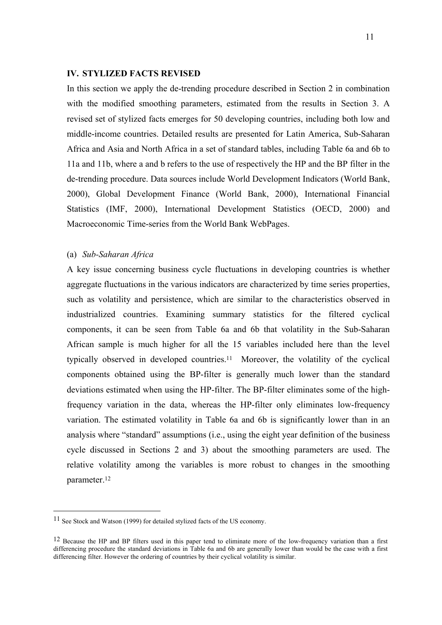#### **IV. STYLIZED FACTS REVISED**

In this section we apply the de-trending procedure described in Section 2 in combination with the modified smoothing parameters, estimated from the results in Section 3. A revised set of stylized facts emerges for 50 developing countries, including both low and middle-income countries. Detailed results are presented for Latin America, Sub-Saharan Africa and Asia and North Africa in a set of standard tables, including Table 6a and 6b to 11a and 11b, where a and b refers to the use of respectively the HP and the BP filter in the de-trending procedure. Data sources include World Development Indicators (World Bank, 2000), Global Development Finance (World Bank, 2000), International Financial Statistics (IMF, 2000), International Development Statistics (OECD, 2000) and Macroeconomic Time-series from the World Bank WebPages.

#### (a) *Sub-Saharan Africa*

 $\overline{a}$ 

A key issue concerning business cycle fluctuations in developing countries is whether aggregate fluctuations in the various indicators are characterized by time series properties, such as volatility and persistence, which are similar to the characteristics observed in industrialized countries. Examining summary statistics for the filtered cyclical components, it can be seen from Table 6a and 6b that volatility in the Sub-Saharan African sample is much higher for all the 15 variables included here than the level typically observed in developed countries.11 Moreover, the volatility of the cyclical components obtained using the BP-filter is generally much lower than the standard deviations estimated when using the HP-filter. The BP-filter eliminates some of the highfrequency variation in the data, whereas the HP-filter only eliminates low-frequency variation. The estimated volatility in Table 6a and 6b is significantly lower than in an analysis where "standard" assumptions (i.e., using the eight year definition of the business cycle discussed in Sections 2 and 3) about the smoothing parameters are used. The relative volatility among the variables is more robust to changes in the smoothing parameter.<sup>12</sup>

<sup>11</sup> See Stock and Watson (1999) for detailed stylized facts of the US economy.

 $12$  Because the HP and BP filters used in this paper tend to eliminate more of the low-frequency variation than a first differencing procedure the standard deviations in Table 6a and 6b are generally lower than would be the case with a first differencing filter. However the ordering of countries by their cyclical volatility is similar.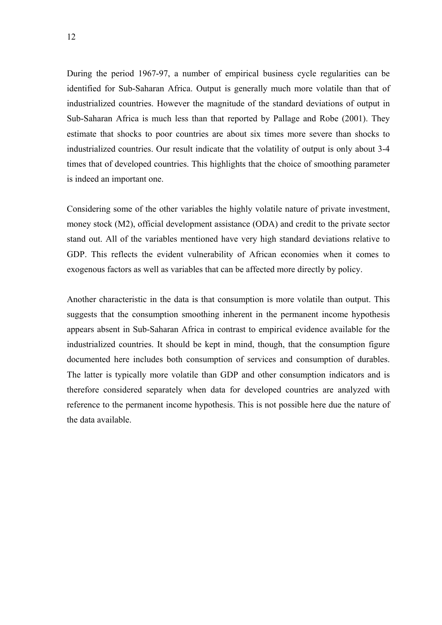During the period 1967-97, a number of empirical business cycle regularities can be identified for Sub-Saharan Africa. Output is generally much more volatile than that of industrialized countries. However the magnitude of the standard deviations of output in Sub-Saharan Africa is much less than that reported by Pallage and Robe (2001). They estimate that shocks to poor countries are about six times more severe than shocks to industrialized countries. Our result indicate that the volatility of output is only about 3-4 times that of developed countries. This highlights that the choice of smoothing parameter is indeed an important one.

Considering some of the other variables the highly volatile nature of private investment, money stock (M2), official development assistance (ODA) and credit to the private sector stand out. All of the variables mentioned have very high standard deviations relative to GDP. This reflects the evident vulnerability of African economies when it comes to exogenous factors as well as variables that can be affected more directly by policy.

Another characteristic in the data is that consumption is more volatile than output. This suggests that the consumption smoothing inherent in the permanent income hypothesis appears absent in Sub-Saharan Africa in contrast to empirical evidence available for the industrialized countries. It should be kept in mind, though, that the consumption figure documented here includes both consumption of services and consumption of durables. The latter is typically more volatile than GDP and other consumption indicators and is therefore considered separately when data for developed countries are analyzed with reference to the permanent income hypothesis. This is not possible here due the nature of the data available.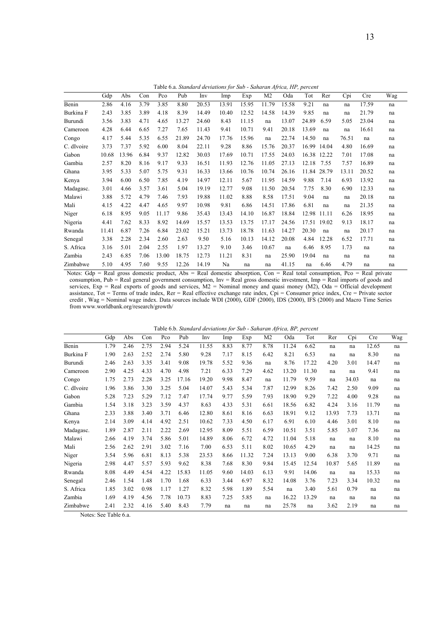|            | Gdp   | Abs   | Con  | Pco   | Pub   | Inv   | Imp   | Exp   | M <sub>2</sub> | Oda   | Tot   | Rer   | Cpi   | Cre   | Wag |
|------------|-------|-------|------|-------|-------|-------|-------|-------|----------------|-------|-------|-------|-------|-------|-----|
| Benin      | 2.86  | 4.16  | 3.79 | 3.85  | 8.80  | 20.53 | 13.91 | 15.95 | 11.79          | 15.58 | 9.21  | na    | na    | 17.59 | na  |
| Burkina F  | 2.43  | 3.85  | 3.89 | 4.18  | 8.39  | 14.49 | 10.40 | 12.52 | 14.58          | 14.39 | 9.85  | na    | na    | 21.79 | na  |
| Burundi    | 3.56  | 3.83  | 4.71 | 4.65  | 13.27 | 24.60 | 8.43  | 11.15 | na             | 13.07 | 24.89 | 6.59  | 5.05  | 23.04 | na  |
| Cameroon   | 4.28  | 6.44  | 6.65 | 7.27  | 7.65  | 11.43 | 9.41  | 10.71 | 9.41           | 20.18 | 13.69 | na    | na    | 16.61 | na  |
| Congo      | 4.17  | 5.44  | 5.35 | 6.55  | 21.89 | 24.70 | 17.76 | 15.96 | na             | 22.74 | 14.50 | na    | 76.51 | na    | na  |
| C. dIvoire | 3.73  | 7.37  | 5.92 | 6.00  | 8.04  | 22.11 | 9.28  | 8.86  | 15.76          | 20.37 | 16.99 | 14.04 | 4.80  | 16.69 | na  |
| Gabon      | 10.68 | 13.96 | 6.84 | 9.37  | 12.82 | 30.03 | 17.69 | 10.71 | 17.55          | 24.03 | 16.38 | 12.22 | 7.01  | 17.08 | na  |
| Gambia     | 2.57  | 8.20  | 8.16 | 9.17  | 9.33  | 16.51 | 11.93 | 12.76 | 11.05          | 27.13 | 12.18 | 7.55  | 7.57  | 16.89 | na  |
| Ghana      | 3.95  | 5.33  | 5.07 | 5.75  | 9.31  | 16.33 | 13.66 | 10.76 | 10.74          | 26.16 | 11.84 | 28.79 | 13.11 | 20.52 | na  |
| Kenya      | 3.94  | 6.00  | 6.50 | 7.85  | 4.19  | 14.97 | 12.11 | 5.67  | 11.95          | 14.59 | 9.88  | 7.14  | 6.93  | 13.92 | na  |
| Madagasc.  | 3.01  | 4.66  | 3.57 | 3.61  | 5.04  | 19.19 | 12.77 | 9.08  | 11.50          | 20.54 | 7.75  | 8.30  | 6.90  | 12.33 | na  |
| Malawi     | 3.88  | 5.72  | 4.79 | 7.46  | 7.93  | 19.88 | 11.02 | 8.88  | 8.58           | 17.51 | 9.04  | na    | na    | 20.18 | na  |
| Mali       | 4.15  | 4.22  | 4.47 | 4.65  | 9.97  | 10.98 | 9.81  | 6.86  | 14.51          | 17.86 | 6.81  | na    | na    | 21.35 | na  |
| Niger      | 6.18  | 8.95  | 9.05 | 11.17 | 9.86  | 35.43 | 13.43 | 14.10 | 16.87          | 18.84 | 12.98 | 11.11 | 6.26  | 18.95 | na  |
| Nigeria    | 4.41  | 7.62  | 8.33 | 8.92  | 14.69 | 15.57 | 13.53 | 13.75 | 17.17          | 24.56 | 17.51 | 19.02 | 9.13  | 18.17 | na  |
| Rwanda     | 11.41 | 6.87  | 7.26 | 6.84  | 23.02 | 15.21 | 13.73 | 18.78 | 11.63          | 14.27 | 20.30 | na    | na    | 20.17 | na  |
| Senegal    | 3.38  | 2.28  | 2.34 | 2.60  | 2.63  | 9.50  | 5.16  | 10.13 | 14.12          | 20.08 | 4.84  | 12.28 | 6.52  | 17.71 | na  |
| S. Africa  | 3.16  | 5.01  | 2.04 | 2.55  | 1.97  | 13.27 | 9.10  | 3.46  | 10.67          | na    | 6.46  | 8.95  | 1.73  | na    | na  |
| Zambia     | 2.43  | 6.85  | 7.06 | 13.00 | 18.75 | 12.73 | 11.21 | 8.31  | na             | 25.90 | 19.04 | na    | na    | na    | na  |
| Zimbabwe   | 5.10  | 4.95  | 7.60 | 9.55  | 12.26 | 14.19 | Na    | na    | na             | 41.15 | na    | 6.46  | 4.79  | na    | na  |

Table 6.a. *Standard deviations for Sub - Saharan Africa, HP, percent*

Notes: Gdp = Real gross domestic product, Abs = Real domestic absorption, Con = Real total consumption, Pco = Real private consumption, Pub = Real general government consumption, Inv = Real gross domestic investment, Imp = Real imports of goods and services,  $Exp = Real$  exports of goods and services,  $M2 = Nominal$  money and quasi money  $(M2)$ , Oda = Official development assistance, Tot = Terms of trade index, Rer = Real effective exchange rate index, Cpi = Consumer price index, Cre = Private sector credit , Wag = Nominal wage index. Data sources include WDI (2000), GDF (2000), IDS (2000), IFS (2000) and Macro Time Series from www.worldbank.org/research/growth/

|  | Table 6.b. Standard deviations for Sub - Saharan Africa, BP, percent |  |  |  |
|--|----------------------------------------------------------------------|--|--|--|
|--|----------------------------------------------------------------------|--|--|--|

|            | Gdp  | Abs  | Con  | Pco  | Pub   | Inv   | Imp  | Exp   | M <sub>2</sub> | Oda   | Tot   | Rer   | Cpi   | Cre   | Wag |
|------------|------|------|------|------|-------|-------|------|-------|----------------|-------|-------|-------|-------|-------|-----|
| Benin      | 1.79 | 2.46 | 2.75 | 2.94 | 5.24  | 11.55 | 8.83 | 8.77  | 8.78           | 11.24 | 6.62  | na    | na    | 12.65 | na  |
| Burkina F  | 1.90 | 2.63 | 2.52 | 2.74 | 5.80  | 9.28  | 7.17 | 8.15  | 6.42           | 8.21  | 6.53  | na    | na    | 8.30  | na  |
| Burundi    | 2.46 | 2.63 | 3.35 | 3.41 | 9.08  | 19.78 | 5.52 | 9.36  | na             | 8.76  | 17.22 | 4.20  | 3.01  | 14.47 | na  |
| Cameroon   | 2.90 | 4.25 | 4.33 | 4.70 | 4.98  | 7.21  | 6.33 | 7.29  | 4.62           | 13.20 | 11.30 | na    | na    | 9.41  | na  |
| Congo      | 1.75 | 2.73 | 2.28 | 3.25 | 17.16 | 19.20 | 9.98 | 8.47  | na             | 11.79 | 9.59  | na    | 34.03 | na    | na  |
| C. dIvoire | 1.96 | 3.86 | 3.30 | 3.25 | 5.04  | 14.07 | 5.43 | 5.34  | 7.87           | 12.99 | 8.26  | 7.42  | 2.50  | 9.09  | na  |
| Gabon      | 5.28 | 7.23 | 5.29 | 7.12 | 7.47  | 17.74 | 9.77 | 5.59  | 7.93           | 18.90 | 9.29  | 7.22  | 4.00  | 9.28  | na  |
| Gambia     | 1.54 | 3.18 | 3.23 | 3.59 | 4.37  | 8.63  | 4.33 | 5.31  | 6.61           | 18.56 | 6.82  | 4.24  | 3.16  | 11.79 | na  |
| Ghana      | 2.33 | 3.88 | 3.40 | 3.71 | 6.46  | 12.80 | 8.61 | 8.16  | 6.63           | 18.91 | 9.12  | 13.93 | 7.73  | 13.71 | na  |
| Kenya      | 2.14 | 3.09 | 4.14 | 4.92 | 2.51  | 10.62 | 7.33 | 4.50  | 6.17           | 6.91  | 6.10  | 4.46  | 3.01  | 8.10  | na  |
| Madagasc.  | 1.89 | 2.87 | 2.11 | 2.22 | 2.69  | 12.95 | 8.09 | 5.51  | 6.59           | 10.51 | 3.51  | 5.85  | 3.07  | 7.36  | na  |
| Malawi     | 2.66 | 4.19 | 3.74 | 5.86 | 5.01  | 14.89 | 8.06 | 6.72  | 4.72           | 11.04 | 5.18  | na    | na    | 8.10  | na  |
| Mali       | 2.56 | 2.62 | 2.91 | 3.02 | 7.16  | 7.00  | 6.53 | 5.11  | 8.02           | 10.65 | 4.29  | na    | na    | 14.25 | na  |
| Niger      | 3.54 | 5.96 | 6.81 | 8.13 | 5.38  | 23.53 | 8.66 | 11.32 | 7.24           | 13.13 | 9.00  | 6.38  | 3.70  | 9.71  | na  |
| Nigeria    | 2.98 | 4.47 | 5.57 | 5.93 | 9.62  | 8.38  | 7.68 | 8.30  | 9.84           | 15.45 | 12.54 | 10.87 | 5.65  | 11.89 | na  |
| Rwanda     | 8.08 | 4.49 | 4.54 | 4.22 | 15.83 | 11.05 | 9.60 | 14.03 | 6.13           | 9.91  | 14.06 | na    | na    | 15.33 | na  |
| Senegal    | 2.46 | 1.54 | 1.48 | 1.70 | 1.68  | 6.33  | 3.44 | 6.97  | 8.32           | 14.08 | 3.76  | 7.23  | 3.34  | 10.32 | na  |
| S. Africa  | 1.85 | 3.02 | 0.98 | 1.17 | 1.27  | 8.32  | 5.98 | 1.89  | 5.54           | na    | 3.40  | 5.61  | 0.79  | na    | na  |
| Zambia     | 1.69 | 4.19 | 4.56 | 7.78 | 10.73 | 8.83  | 7.25 | 5.85  | na             | 16.22 | 13.29 | na    | na    | na    | na  |
| Zimbabwe   | 2.41 | 2.32 | 4.16 | 5.40 | 8.43  | 7.79  | na   | na    | na             | 25.78 | na    | 3.62  | 2.19  | na    | na  |

Notes: See Table 6.a.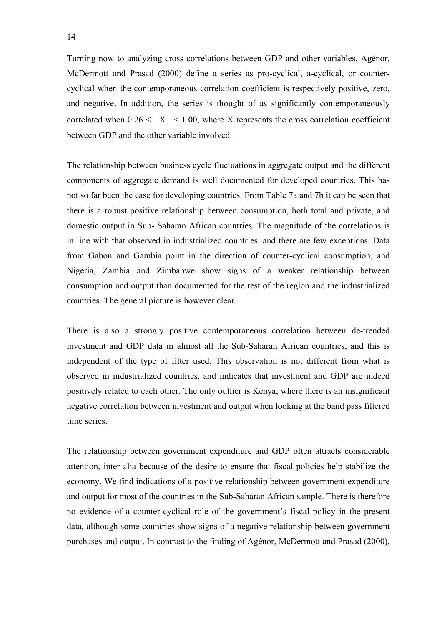Turning now to analyzing cross correlations between GDP and other variables, Agénor, McDermott and Prasad (2000) define a series as pro-cyclical, a-cyclical, or countercyclical when the contemporaneous correlation coefficient is respectively positive, zero, and negative. In addition, the series is thought of as significantly contemporaneously correlated when  $0.26 < |X| < 1.00$ , where X represents the cross correlation coefficient between GDP and the other variable involved.

The relationship between business cycle fluctuations in aggregate output and the different components of aggregate demand is well documented for developed countries. This has not so far been the case for developing countries. From Table 7a and 7b it can be seen that there is a robust positive relationship between consumption, both total and private, and domestic output in Sub- Saharan African countries. The magnitude of the correlations is in line with that observed in industrialized countries, and there are few exceptions. Data from Gabon and Gambia point in the direction of counter-cyclical consumption, and Nigeria, Zambia and Zimbabwe show signs of a weaker relationship between consumption and output than documented for the rest of the region and the industrialized countries. The general picture is however clear.

There is also a strongly positive contemporaneous correlation between de-trended investment and GDP data in almost all the Sub-Saharan African countries, and this is independent of the type of filter used. This observation is not different from what is observed in industrialized countries, and indicates that investment and GDP are indeed positively related to each other. The only outlier is Kenya, where there is an insignificant negative correlation between investment and output when looking at the band pass filtered time series.

The relationship between government expenditure and GDP often attracts considerable attention, inter alia because of the desire to ensure that fiscal policies help stabilize the economy. We find indications of a positive relationship between government expenditure and output for most of the countries in the Sub-Saharan African sample. There is therefore no evidence of a counter-cyclical role of the government's fiscal policy in the present data, although some countries show signs of a negative relationship between government purchases and output. In contrast to the finding of Agénor, McDermott and Prasad (2000),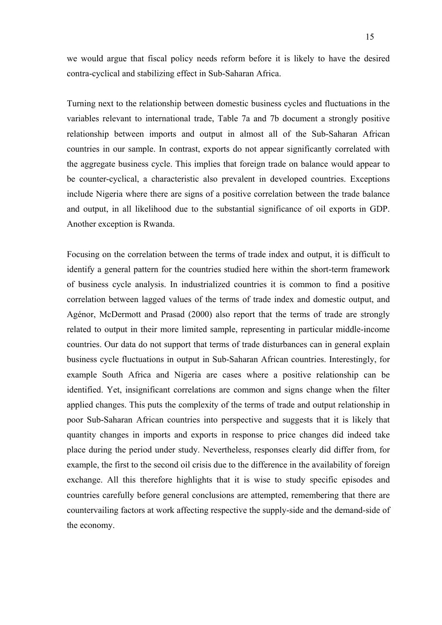we would argue that fiscal policy needs reform before it is likely to have the desired contra-cyclical and stabilizing effect in Sub-Saharan Africa.

Turning next to the relationship between domestic business cycles and fluctuations in the variables relevant to international trade, Table 7a and 7b document a strongly positive relationship between imports and output in almost all of the Sub-Saharan African countries in our sample. In contrast, exports do not appear significantly correlated with the aggregate business cycle. This implies that foreign trade on balance would appear to be counter-cyclical, a characteristic also prevalent in developed countries. Exceptions include Nigeria where there are signs of a positive correlation between the trade balance and output, in all likelihood due to the substantial significance of oil exports in GDP. Another exception is Rwanda.

Focusing on the correlation between the terms of trade index and output, it is difficult to identify a general pattern for the countries studied here within the short-term framework of business cycle analysis. In industrialized countries it is common to find a positive correlation between lagged values of the terms of trade index and domestic output, and Agénor, McDermott and Prasad (2000) also report that the terms of trade are strongly related to output in their more limited sample, representing in particular middle-income countries. Our data do not support that terms of trade disturbances can in general explain business cycle fluctuations in output in Sub-Saharan African countries. Interestingly, for example South Africa and Nigeria are cases where a positive relationship can be identified. Yet, insignificant correlations are common and signs change when the filter applied changes. This puts the complexity of the terms of trade and output relationship in poor Sub-Saharan African countries into perspective and suggests that it is likely that quantity changes in imports and exports in response to price changes did indeed take place during the period under study. Nevertheless, responses clearly did differ from, for example, the first to the second oil crisis due to the difference in the availability of foreign exchange. All this therefore highlights that it is wise to study specific episodes and countries carefully before general conclusions are attempted, remembering that there are countervailing factors at work affecting respective the supply-side and the demand-side of the economy.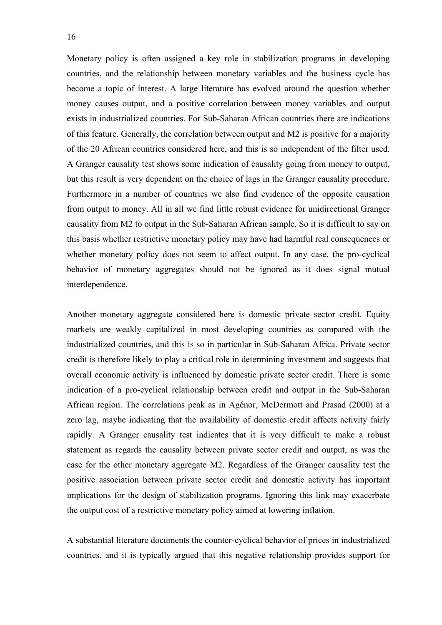Monetary policy is often assigned a key role in stabilization programs in developing countries, and the relationship between monetary variables and the business cycle has become a topic of interest. A large literature has evolved around the question whether money causes output, and a positive correlation between money variables and output exists in industrialized countries. For Sub-Saharan African countries there are indications of this feature. Generally, the correlation between output and M2 is positive for a majority of the 20 African countries considered here, and this is so independent of the filter used. A Granger causality test shows some indication of causality going from money to output, but this result is very dependent on the choice of lags in the Granger causality procedure. Furthermore in a number of countries we also find evidence of the opposite causation from output to money. All in all we find little robust evidence for unidirectional Granger causality from M2 to output in the Sub-Saharan African sample. So it is difficult to say on this basis whether restrictive monetary policy may have had harmful real consequences or whether monetary policy does not seem to affect output. In any case, the pro-cyclical behavior of monetary aggregates should not be ignored as it does signal mutual interdependence.

Another monetary aggregate considered here is domestic private sector credit. Equity markets are weakly capitalized in most developing countries as compared with the industrialized countries, and this is so in particular in Sub-Saharan Africa. Private sector credit is therefore likely to play a critical role in determining investment and suggests that overall economic activity is influenced by domestic private sector credit. There is some indication of a pro-cyclical relationship between credit and output in the Sub-Saharan African region. The correlations peak as in Agénor, McDermott and Prasad (2000) at a zero lag, maybe indicating that the availability of domestic credit affects activity fairly rapidly. A Granger causality test indicates that it is very difficult to make a robust statement as regards the causality between private sector credit and output, as was the case for the other monetary aggregate M2. Regardless of the Granger causality test the positive association between private sector credit and domestic activity has important implications for the design of stabilization programs. Ignoring this link may exacerbate the output cost of a restrictive monetary policy aimed at lowering inflation.

A substantial literature documents the counter-cyclical behavior of prices in industrialized countries, and it is typically argued that this negative relationship provides support for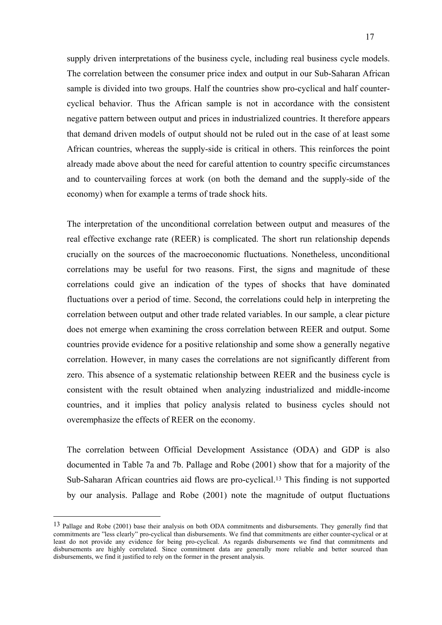supply driven interpretations of the business cycle, including real business cycle models. The correlation between the consumer price index and output in our Sub-Saharan African sample is divided into two groups. Half the countries show pro-cyclical and half countercyclical behavior. Thus the African sample is not in accordance with the consistent negative pattern between output and prices in industrialized countries. It therefore appears that demand driven models of output should not be ruled out in the case of at least some African countries, whereas the supply-side is critical in others. This reinforces the point already made above about the need for careful attention to country specific circumstances and to countervailing forces at work (on both the demand and the supply-side of the economy) when for example a terms of trade shock hits.

The interpretation of the unconditional correlation between output and measures of the real effective exchange rate (REER) is complicated. The short run relationship depends crucially on the sources of the macroeconomic fluctuations. Nonetheless, unconditional correlations may be useful for two reasons. First, the signs and magnitude of these correlations could give an indication of the types of shocks that have dominated fluctuations over a period of time. Second, the correlations could help in interpreting the correlation between output and other trade related variables. In our sample, a clear picture does not emerge when examining the cross correlation between REER and output. Some countries provide evidence for a positive relationship and some show a generally negative correlation. However, in many cases the correlations are not significantly different from zero. This absence of a systematic relationship between REER and the business cycle is consistent with the result obtained when analyzing industrialized and middle-income countries, and it implies that policy analysis related to business cycles should not overemphasize the effects of REER on the economy.

The correlation between Official Development Assistance (ODA) and GDP is also documented in Table 7a and 7b. Pallage and Robe (2001) show that for a majority of the Sub-Saharan African countries aid flows are pro-cyclical.13 This finding is not supported by our analysis. Pallage and Robe (2001) note the magnitude of output fluctuations

<sup>13</sup> Pallage and Robe (2001) base their analysis on both ODA commitments and disbursements. They generally find that commitments are "less clearly" pro-cyclical than disbursements. We find that commitments are either counter-cyclical or at least do not provide any evidence for being pro-cyclical. As regards disbursements we find that commitments and disbursements are highly correlated. Since commitment data are generally more reliable and better sourced than disbursements, we find it justified to rely on the former in the present analysis.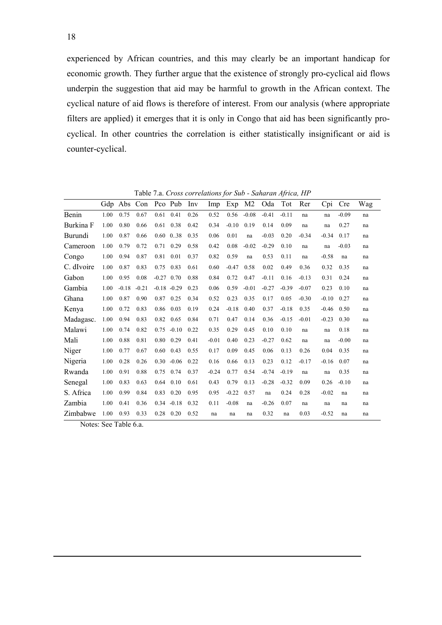experienced by African countries, and this may clearly be an important handicap for economic growth. They further argue that the existence of strongly pro-cyclical aid flows underpin the suggestion that aid may be harmful to growth in the African context. The cyclical nature of aid flows is therefore of interest. From our analysis (where appropriate filters are applied) it emerges that it is only in Congo that aid has been significantly procyclical. In other countries the correlation is either statistically insignificant or aid is counter-cyclical.

|            | Gdp  | Abs     | Con     |         | Pco Pub        | Inv  | Imp     | Exp     | M2      | Oda     | Tot     | Rer     | Cpi     | Cre     | Wag |
|------------|------|---------|---------|---------|----------------|------|---------|---------|---------|---------|---------|---------|---------|---------|-----|
| Benin      | 1.00 | 0.75    | 0.67    | 0.61    | 0.41           | 0.26 | 0.52    | 0.56    | $-0.08$ | $-0.41$ | $-0.11$ | na      | na      | $-0.09$ | na  |
| Burkina F  | 1.00 | 0.80    | 0.66    | 0.61    | 0.38           | 0.42 | 0.34    | $-0.10$ | 0.19    | 0.14    | 0.09    | na      | na      | 0.27    | na  |
| Burundi    | 1.00 | 0.87    | 0.66    | 0.60    | 0.38           | 0.35 | 0.06    | 0.01    | na      | $-0.03$ | 0.20    | $-0.34$ | $-0.34$ | 0.17    | na  |
| Cameroon   | 1.00 | 0.79    | 0.72    | 0.71    | 0.29           | 0.58 | 0.42    | 0.08    | $-0.02$ | $-0.29$ | 0.10    | na      | na      | $-0.03$ | na  |
| Congo      | 1.00 | 0.94    | 0.87    | 0.81    | 0.01           | 0.37 | 0.82    | 0.59    | na      | 0.53    | 0.11    | na      | $-0.58$ | na      | na  |
| C. dIvoire | 1.00 | 0.87    | 0.83    | 0.75    | 0.83           | 0.61 | 0.60    | $-0.47$ | 0.58    | 0.02    | 0.49    | 0.36    | 0.32    | 0.35    | na  |
| Gabon      | 1.00 | 0.95    | 0.08    | $-0.27$ | 0.70           | 0.88 | 0.84    | 0.72    | 0.47    | $-0.11$ | 0.16    | $-0.13$ | 0.31    | 0.24    | na  |
| Gambia     | 1.00 | $-0.18$ | $-0.21$ |         | $-0.18 - 0.29$ | 0.23 | 0.06    | 0.59    | $-0.01$ | $-0.27$ | $-0.39$ | $-0.07$ | 0.23    | 0.10    | na  |
| Ghana      | 1.00 | 0.87    | 0.90    | 0.87    | 0.25           | 0.34 | 0.52    | 0.23    | 0.35    | 0.17    | 0.05    | $-0.30$ | $-0.10$ | 0.27    | na  |
| Kenya      | 1.00 | 0.72    | 0.83    | 0.86    | 0.03           | 0.19 | 0.24    | $-0.18$ | 0.40    | 0.37    | $-0.18$ | 0.35    | $-0.46$ | 0.50    | na  |
| Madagasc.  | 1.00 | 0.94    | 0.83    | 0.82    | 0.65           | 0.84 | 0.71    | 0.47    | 0.14    | 0.36    | $-0.15$ | $-0.01$ | $-0.23$ | 0.30    | na  |
| Malawi     | 1.00 | 0.74    | 0.82    | 0.75    | $-0.10$        | 0.22 | 0.35    | 0.29    | 0.45    | 0.10    | 0.10    | na      | na      | 0.18    | na  |
| Mali       | 1.00 | 0.88    | 0.81    | 0.80    | 0.29           | 0.41 | $-0.01$ | 0.40    | 0.23    | $-0.27$ | 0.62    | na      | na      | $-0.00$ | na  |
| Niger      | 1.00 | 0.77    | 0.67    | 0.60    | 0.43           | 0.55 | 0.17    | 0.09    | 0.45    | 0.06    | 0.13    | 0.26    | 0.04    | 0.35    | na  |
| Nigeria    | 1.00 | 0.28    | 0.26    | 0.30    | $-0.06$        | 0.22 | 0.16    | 0.66    | 0.13    | 0.23    | 0.12    | $-0.17$ | $-0.16$ | 0.07    | na  |
| Rwanda     | 1.00 | 0.91    | 0.88    | 0.75    | 0.74           | 0.37 | $-0.24$ | 0.77    | 0.54    | $-0.74$ | $-0.19$ | na      | na      | 0.35    | na  |
| Senegal    | 1.00 | 0.83    | 0.63    | 0.64    | 0.10           | 0.61 | 0.43    | 0.79    | 0.13    | $-0.28$ | $-0.32$ | 0.09    | 0.26    | $-0.10$ | na  |
| S. Africa  | 1.00 | 0.99    | 0.84    | 0.83    | 0.20           | 0.95 | 0.95    | $-0.22$ | 0.57    | na      | 0.24    | 0.28    | $-0.02$ | na      | na  |
| Zambia     | 1.00 | 0.41    | 0.36    |         | $0.34 - 0.18$  | 0.32 | 0.11    | $-0.08$ | na      | $-0.26$ | 0.07    | na      | na      | na      | na  |
| Zimbabwe   | 1.00 | 0.93    | 0.33    | 0.28    | 0.20           | 0.52 | na      | na      | na      | 0.32    | na      | 0.03    | $-0.52$ | na      | na  |

Table 7.a. *Cross correlations for Sub - Saharan Africa, HP*

Notes: See Table 6.a.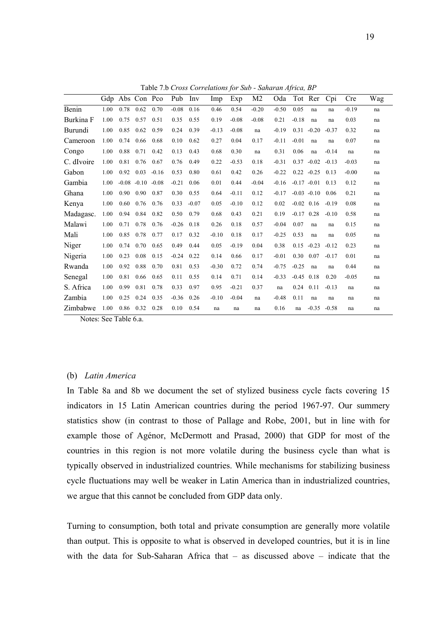|            | Gdp  |         | Abs Con Pco |         | Pub     | Inv     | Imp     | Exp     | M <sub>2</sub> | Oda     |              | Tot Rer        | Cpi     | <b>Cre</b> | Wag |
|------------|------|---------|-------------|---------|---------|---------|---------|---------|----------------|---------|--------------|----------------|---------|------------|-----|
| Benin      | 1.00 | 0.78    | 0.62        | 0.70    | $-0.08$ | 0.16    | 0.46    | 0.54    | $-0.20$        | $-0.50$ | 0.05         | na             | na      | $-0.19$    | na  |
| Burkina F  | 1.00 | 0.75    | 0.57        | 0.51    | 0.35    | 0.55    | 0.19    | $-0.08$ | $-0.08$        | 0.21    | $-0.18$      | na             | na      | 0.03       | na  |
| Burundi    | 1.00 | 0.85    | 0.62        | 0.59    | 0.24    | 0.39    | $-0.13$ | $-0.08$ | na             | $-0.19$ | 0.31         | $-0.20$        | $-0.37$ | 0.32       | na  |
| Cameroon   | 1.00 | 0.74    | 0.66        | 0.68    | 0.10    | 0.62    | 0.27    | 0.04    | 0.17           | $-0.11$ | $-0.01$      | na             | na      | 0.07       | na  |
| Congo      | 1.00 | 0.88    | 0.71        | 0.42    | 0.13    | 0.43    | 0.68    | 0.30    | na             | 0.31    | 0.06         | na             | $-0.14$ | na         | na  |
| C. dIvoire | 1.00 | 0.81    | 0.76        | 0.67    | 0.76    | 0.49    | 0.22    | $-0.53$ | 0.18           | $-0.31$ | 0.37         | $-0.02$        | $-0.13$ | $-0.03$    | na  |
| Gabon      | 1.00 | 0.92    | 0.03        | $-0.16$ | 0.53    | 0.80    | 0.61    | 0.42    | 0.26           | $-0.22$ |              | $0.22 - 0.25$  | 0.13    | $-0.00$    | na  |
| Gambia     | 1.00 | $-0.08$ | $-0.10$     | $-0.08$ | $-0.21$ | 0.06    | 0.01    | 0.44    | $-0.04$        | $-0.16$ |              | $-0.17 - 0.01$ | 0.13    | 0.12       | na  |
| Ghana      | 1.00 | 0.90    | 0.90        | 0.87    | 0.30    | 0.55    | 0.64    | $-0.11$ | 0.12           | $-0.17$ |              | $-0.03 - 0.10$ | 0.06    | 0.21       | na  |
| Kenya      | 1.00 | 0.60    | 0.76        | 0.76    | 0.33    | $-0.07$ | 0.05    | $-0.10$ | 0.12           | 0.02    |              | $-0.02$ 0.16   | $-0.19$ | 0.08       | na  |
| Madagasc.  | 1.00 | 0.94    | 0.84        | 0.82    | 0.50    | 0.79    | 0.68    | 0.43    | 0.21           | 0.19    | $-0.17$      | 0.28           | $-0.10$ | 0.58       | na  |
| Malawi     | 1.00 | 0.71    | 0.78        | 0.76    | $-0.26$ | 0.18    | 0.26    | 0.18    | 0.57           | $-0.04$ | 0.07         | na             | na      | 0.15       | na  |
| Mali       | 1.00 | 0.85    | 0.78        | 0.77    | 0.17    | 0.32    | $-0.10$ | 0.18    | 0.17           | $-0.25$ | 0.53         | na             | na      | 0.05       | na  |
| Niger      | 1.00 | 0.74    | 0.70        | 0.65    | 0.49    | 0.44    | 0.05    | $-0.19$ | 0.04           | 0.38    | 0.15         | $-0.23$        | $-0.12$ | 0.23       | na  |
| Nigeria    | 1.00 | 0.23    | 0.08        | 0.15    | $-0.24$ | 0.22    | 0.14    | 0.66    | 0.17           | $-0.01$ | 0.30         | 0.07           | $-0.17$ | 0.01       | na  |
| Rwanda     | 1.00 | 0.92    | 0.88        | 0.70    | 0.81    | 0.53    | $-0.30$ | 0.72    | 0.74           | $-0.75$ | $-0.25$      | na             | na      | 0.44       | na  |
| Senegal    | 1.00 | 0.81    | 0.66        | 0.65    | 0.11    | 0.55    | 0.14    | 0.71    | 0.14           | $-0.33$ | $-0.45$ 0.18 |                | 0.20    | $-0.05$    | na  |
| S. Africa  | 1.00 | 0.99    | 0.81        | 0.78    | 0.33    | 0.97    | 0.95    | $-0.21$ | 0.37           | na      | 0.24         | 0.11           | $-0.13$ | na         | na  |
| Zambia     | 1.00 | 0.25    | 0.24        | 0.35    | $-0.36$ | 0.26    | $-0.10$ | $-0.04$ | na             | $-0.48$ | 0.11         | na             | na      | na         | na  |
| Zimbabwe   | 1.00 | 0.86    | 0.32        | 0.28    | 0.10    | 0.54    | na      | na      | na             | 0.16    | na           | $-0.35$        | $-0.58$ | na         | na  |

Table 7.b *Cross Correlations for Sub - Saharan Africa, BP*

Notes: See Table 6.a.

## (b) *Latin America*

In Table 8a and 8b we document the set of stylized business cycle facts covering 15 indicators in 15 Latin American countries during the period 1967-97. Our summery statistics show (in contrast to those of Pallage and Robe, 2001, but in line with for example those of Agénor, McDermott and Prasad, 2000) that GDP for most of the countries in this region is not more volatile during the business cycle than what is typically observed in industrialized countries. While mechanisms for stabilizing business cycle fluctuations may well be weaker in Latin America than in industrialized countries, we argue that this cannot be concluded from GDP data only.

Turning to consumption, both total and private consumption are generally more volatile than output. This is opposite to what is observed in developed countries, but it is in line with the data for Sub-Saharan Africa that – as discussed above – indicate that the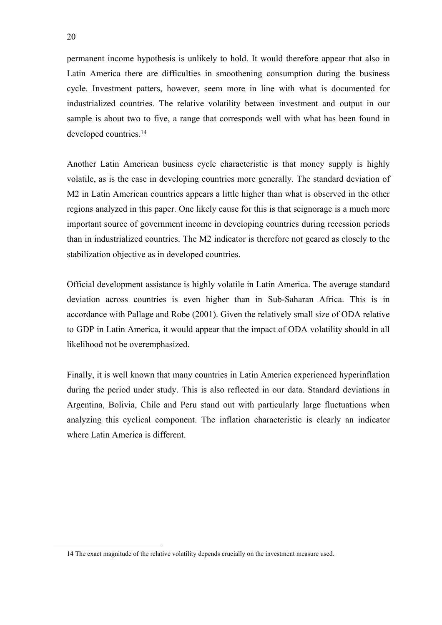permanent income hypothesis is unlikely to hold. It would therefore appear that also in Latin America there are difficulties in smoothening consumption during the business cycle. Investment patters, however, seem more in line with what is documented for industrialized countries. The relative volatility between investment and output in our sample is about two to five, a range that corresponds well with what has been found in developed countries.<sup>14</sup>

Another Latin American business cycle characteristic is that money supply is highly volatile, as is the case in developing countries more generally. The standard deviation of M2 in Latin American countries appears a little higher than what is observed in the other regions analyzed in this paper. One likely cause for this is that seignorage is a much more important source of government income in developing countries during recession periods than in industrialized countries. The M2 indicator is therefore not geared as closely to the stabilization objective as in developed countries.

Official development assistance is highly volatile in Latin America. The average standard deviation across countries is even higher than in Sub-Saharan Africa. This is in accordance with Pallage and Robe (2001). Given the relatively small size of ODA relative to GDP in Latin America, it would appear that the impact of ODA volatility should in all likelihood not be overemphasized.

Finally, it is well known that many countries in Latin America experienced hyperinflation during the period under study. This is also reflected in our data. Standard deviations in Argentina, Bolivia, Chile and Peru stand out with particularly large fluctuations when analyzing this cyclical component. The inflation characteristic is clearly an indicator where Latin America is different.

<sup>14</sup> The exact magnitude of the relative volatility depends crucially on the investment measure used.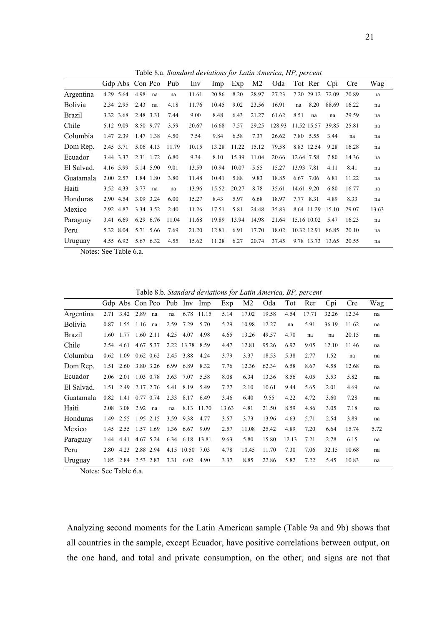Table 8.a. *Standard deviations for Latin America, HP, percent*

|                                                                      |           | Gdp Abs Con Pco |    | Pub   | Inv   | Imp   | Exp   | M <sub>2</sub> | Oda    | Tot Rer           | Cpi   | <b>Cre</b> | Wag   |
|----------------------------------------------------------------------|-----------|-----------------|----|-------|-------|-------|-------|----------------|--------|-------------------|-------|------------|-------|
| Argentina                                                            | 4.29 5.64 | 4.98            | na | na    | 11.61 | 20.86 | 8.20  | 28.97          | 27.23  | 7.20 29.12        | 72.09 | 20.89      | na    |
| <b>Bolivia</b>                                                       | 2.34 2.95 | 2.43            | na | 4.18  | 11.76 | 10.45 | 9.02  | 23.56          | 16.91  | 8.20<br>na        | 88.69 | 16.22      | na    |
| <b>Brazil</b>                                                        | 3.32 3.68 | 2.48 3.31       |    | 7.44  | 9.00  | 8.48  | 6.43  | 21.27          | 61.62  | 8.51<br>na        | na    | 29.59      | na    |
| Chile                                                                | 5.12 9.09 | 8.50 9.77       |    | 3.59  | 20.67 | 16.68 | 7.57  | 29.25          | 128.93 | 11.52 15.57       | 39.85 | 25.81      | na    |
| Columbia                                                             | 1.47 2.39 | 1.47 1.38       |    | 4.50  | 7.54  | 9.84  | 6.58  | 7.37           | 26.62  | 7.80 5.55         | 3.44  | na         | na    |
| Dom Rep.                                                             | 2.45 3.71 | 5.06 4.13       |    | 11.79 | 10.15 | 13.28 | 11.22 | 15.12          | 79.58  | 8.83 12.54        | 9.28  | 16.28      | na    |
| Ecuador                                                              | 3.44 3.37 | 2.31 1.72       |    | 6.80  | 9.34  | 8.10  | 15.39 | 11.04          | 20.66  | 12.64 7.58        | 7.80  | 14.36      | na    |
| El Salvad.                                                           | 4.16 5.99 | 5.14 5.90       |    | 9.01  | 13.59 | 10.94 | 10.07 | 5.55           | 15.27  | 13.93 7.81        | 4.11  | 8.41       | na    |
| Guatamala                                                            | 2.00 2.57 | 1.84 1.80       |    | 3.80  | 11.48 | 10.41 | 5.88  | 9.83           | 18.85  | 6.67 7.06         | 6.81  | 11.22      | na    |
| Haiti                                                                | 3.52 4.33 | 3.77            | na | na    | 13.96 | 15.52 | 20.27 | 8.78           | 35.61  | 14.61 9.20        | 6.80  | 16.77      | na    |
| Honduras                                                             | 2.90 4.54 | 3.09 3.24       |    | 6.00  | 15.27 | 8.43  | 5.97  | 6.68           | 18.97  | 7.77 8.31         | 4.89  | 8.33       | na    |
| Mexico                                                               | 2.92 4.87 | 3.34 3.52       |    | 2.40  | 11.26 | 17.51 | 5.81  | 24.48          | 35.83  | 8.64 11.29        | 15.10 | 29.07      | 13.63 |
| Paraguay                                                             | 3.41 6.69 | 6.29 6.76       |    | 11.04 | 11.68 | 19.89 | 13.94 | 14.98          | 21.64  | 15.16 10.02       | 5.47  | 16.23      | na    |
| Peru                                                                 | 5.32 8.04 | 5.71 5.66       |    | 7.69  | 21.20 | 12.81 | 6.91  | 17.70          | 18.02  | 10.32 12.91 86.85 |       | 20.10      | na    |
| Uruguay<br>$N_{\text{other}}$ $\alpha_{\text{ex}}$ $\text{Table 1:}$ | 4.55 6.92 | 5.67 6.32       |    | 4.55  | 15.62 | 11.28 | 6.27  | 20.74          | 37.45  | 9.78 13.73 13.65  |       | 20.55      | na    |

Notes: See Table 6.a.

Table 8.b. *Standard deviations for Latin America, BP, percent*

|                |           |                   | Gdp Abs Con Pco Pub Inv Imp |      |                 |       | Exp   | M <sub>2</sub> | Oda   | Tot   | Rer   | Cpi   | <b>Cre</b> | Wag  |
|----------------|-----------|-------------------|-----------------------------|------|-----------------|-------|-------|----------------|-------|-------|-------|-------|------------|------|
| Argentina      | 2.71      |                   | 3.42 2.89<br>na             | na   | 6.78            | 11.15 | 5.14  | 17.02          | 19.58 | 4.54  | 17.71 | 32.26 | 12.34      | na   |
| <b>Bolivia</b> | 0.87      | 1.55              | 1.16<br>na                  | 2.59 | 7.29            | 5.70  | 5.29  | 10.98          | 12.27 | na    | 5.91  | 36.19 | 11.62      | na   |
| <b>Brazil</b>  | 1.60      | 1.77              | 1.60 2.11                   | 4.25 | 4.07            | 4.98  | 4.65  | 13.26          | 49.57 | 4.70  | na    | na    | 20.15      | na   |
| Chile          | 2.54 4.61 |                   | 4.67 5.37                   |      | 2.22 13.78 8.59 |       | 4.47  | 12.81          | 95.26 | 6.92  | 9.05  | 12.10 | 11.46      | na   |
| Columbia       | 0.62      | 1.09              | $0.62$ 0.62                 | 2.45 | 3.88            | 4.24  | 3.79  | 3.37           | 18.53 | 5.38  | 2.77  | 1.52  | na         | na   |
| Dom Rep.       |           | $1.51 \quad 2.60$ | 3.80 3.26                   | 6.99 | 6.89            | 8.32  | 7.76  | 12.36          | 62.34 | 6.58  | 8.67  | 4.58  | 12.68      | na   |
| Ecuador        | 2.06      | 2.01              | 1.03 0.78                   | 3.63 | 7.07            | 5.58  | 8.08  | 6.34           | 13.36 | 8.56  | 4.05  | 3.53  | 5.82       | na   |
| El Salvad.     | 1.51      | 2.49              | 2.17 2.76                   | 5.41 | 8.19            | 5.49  | 7.27  | 2.10           | 10.61 | 9.44  | 5.65  | 2.01  | 4.69       | na   |
| Guatamala      | 0.82      | 1.41              | $0.77$ 0.74                 | 2.33 | 8.17            | 6.49  | 3.46  | 6.40           | 9.55  | 4.22  | 4.72  | 3.60  | 7.28       | na   |
| Haiti          |           | 2.08 3.08         | $2.92$ na                   | na   | 8.13            | 11.70 | 13.63 | 4.81           | 21.50 | 8.59  | 4.86  | 3.05  | 7.18       | na   |
| Honduras       | 1.49      | 2.55              | 1.95 2.15                   | 3.59 | 9.38            | 4.77  | 3.57  | 3.73           | 13.96 | 4.63  | 5.71  | 2.54  | 3.89       | na   |
| Mexico         | 1.45      | 2.55              | 1.57 1.69                   |      | 1.36 6.67       | 9.09  | 2.57  | 11.08          | 25.42 | 4.89  | 7.20  | 6.64  | 15.74      | 5.72 |
| Paraguay       | 1.44      | 4.41              | 4.67 5.24                   |      | 6.34 6.18 13.81 |       | 9.63  | 5.80           | 15.80 | 12.13 | 7.21  | 2.78  | 6.15       | na   |
| Peru           | 2.80      | 4.23              | 2.88 2.94                   |      | 4.15 10.50      | 7.03  | 4.78  | 10.45          | 11.70 | 7.30  | 7.06  | 32.15 | 10.68      | na   |
| Uruguay        | 1.85      | 2.84              | 2.53 2.83                   | 3.31 | 6.02            | 4.90  | 3.37  | 8.85           | 22.86 | 5.82  | 7.22  | 5.45  | 10.83      | na   |

Notes: See Table 6.a.

Analyzing second moments for the Latin American sample (Table 9a and 9b) shows that all countries in the sample, except Ecuador, have positive correlations between output, on the one hand, and total and private consumption, on the other, and signs are not that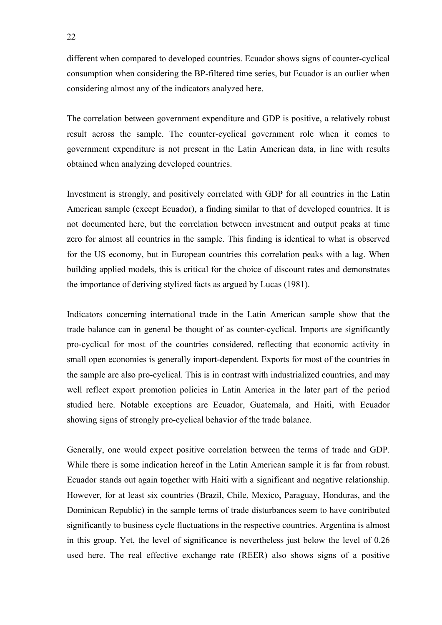different when compared to developed countries. Ecuador shows signs of counter-cyclical consumption when considering the BP-filtered time series, but Ecuador is an outlier when considering almost any of the indicators analyzed here.

The correlation between government expenditure and GDP is positive, a relatively robust result across the sample. The counter-cyclical government role when it comes to government expenditure is not present in the Latin American data, in line with results obtained when analyzing developed countries.

Investment is strongly, and positively correlated with GDP for all countries in the Latin American sample (except Ecuador), a finding similar to that of developed countries. It is not documented here, but the correlation between investment and output peaks at time zero for almost all countries in the sample. This finding is identical to what is observed for the US economy, but in European countries this correlation peaks with a lag. When building applied models, this is critical for the choice of discount rates and demonstrates the importance of deriving stylized facts as argued by Lucas (1981).

Indicators concerning international trade in the Latin American sample show that the trade balance can in general be thought of as counter-cyclical. Imports are significantly pro-cyclical for most of the countries considered, reflecting that economic activity in small open economies is generally import-dependent. Exports for most of the countries in the sample are also pro-cyclical. This is in contrast with industrialized countries, and may well reflect export promotion policies in Latin America in the later part of the period studied here. Notable exceptions are Ecuador, Guatemala, and Haiti, with Ecuador showing signs of strongly pro-cyclical behavior of the trade balance.

Generally, one would expect positive correlation between the terms of trade and GDP. While there is some indication hereof in the Latin American sample it is far from robust. Ecuador stands out again together with Haiti with a significant and negative relationship. However, for at least six countries (Brazil, Chile, Mexico, Paraguay, Honduras, and the Dominican Republic) in the sample terms of trade disturbances seem to have contributed significantly to business cycle fluctuations in the respective countries. Argentina is almost in this group. Yet, the level of significance is nevertheless just below the level of 0.26 used here. The real effective exchange rate (REER) also shows signs of a positive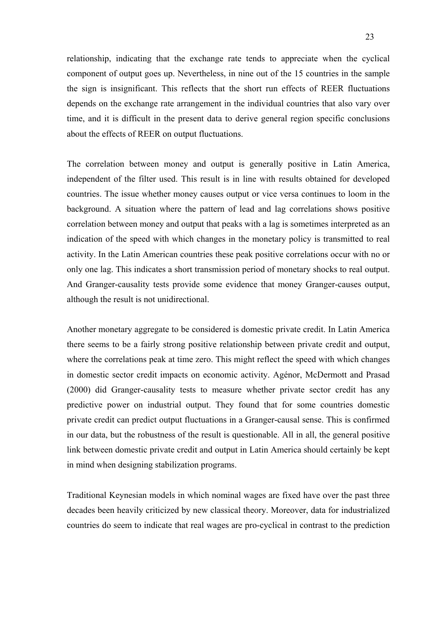relationship, indicating that the exchange rate tends to appreciate when the cyclical component of output goes up. Nevertheless, in nine out of the 15 countries in the sample the sign is insignificant. This reflects that the short run effects of REER fluctuations depends on the exchange rate arrangement in the individual countries that also vary over time, and it is difficult in the present data to derive general region specific conclusions about the effects of REER on output fluctuations.

The correlation between money and output is generally positive in Latin America, independent of the filter used. This result is in line with results obtained for developed countries. The issue whether money causes output or vice versa continues to loom in the background. A situation where the pattern of lead and lag correlations shows positive correlation between money and output that peaks with a lag is sometimes interpreted as an indication of the speed with which changes in the monetary policy is transmitted to real activity. In the Latin American countries these peak positive correlations occur with no or only one lag. This indicates a short transmission period of monetary shocks to real output. And Granger-causality tests provide some evidence that money Granger-causes output, although the result is not unidirectional.

Another monetary aggregate to be considered is domestic private credit. In Latin America there seems to be a fairly strong positive relationship between private credit and output, where the correlations peak at time zero. This might reflect the speed with which changes in domestic sector credit impacts on economic activity. Agénor, McDermott and Prasad (2000) did Granger-causality tests to measure whether private sector credit has any predictive power on industrial output. They found that for some countries domestic private credit can predict output fluctuations in a Granger-causal sense. This is confirmed in our data, but the robustness of the result is questionable. All in all, the general positive link between domestic private credit and output in Latin America should certainly be kept in mind when designing stabilization programs.

Traditional Keynesian models in which nominal wages are fixed have over the past three decades been heavily criticized by new classical theory. Moreover, data for industrialized countries do seem to indicate that real wages are pro-cyclical in contrast to the prediction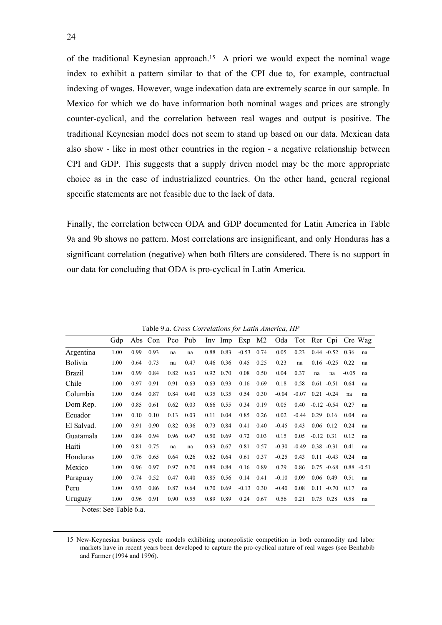of the traditional Keynesian approach.15 A priori we would expect the nominal wage index to exhibit a pattern similar to that of the CPI due to, for example, contractual indexing of wages. However, wage indexation data are extremely scarce in our sample. In Mexico for which we do have information both nominal wages and prices are strongly counter-cyclical, and the correlation between real wages and output is positive. The traditional Keynesian model does not seem to stand up based on our data. Mexican data also show - like in most other countries in the region - a negative relationship between CPI and GDP. This suggests that a supply driven model may be the more appropriate choice as in the case of industrialized countries. On the other hand, general regional specific statements are not feasible due to the lack of data.

Finally, the correlation between ODA and GDP documented for Latin America in Table 9a and 9b shows no pattern. Most correlations are insignificant, and only Honduras has a significant correlation (negative) when both filters are considered. There is no support in our data for concluding that ODA is pro-cyclical in Latin America.

|                | Gdp  |      | Abs Con | Pco Pub |      |      | Inv Imp           | Exp M2  |      | Oda     |         | Tot Rer Cpi Cre Wag |                    |         |         |
|----------------|------|------|---------|---------|------|------|-------------------|---------|------|---------|---------|---------------------|--------------------|---------|---------|
| Argentina      | 1.00 | 0.99 | 0.93    | na      | na   | 0.88 | 0.83              | $-0.53$ | 0.74 | 0.05    | 0.23    |                     | $0.44 - 0.52 0.36$ |         | na      |
| <b>Bolivia</b> | 1.00 | 0.64 | 0.73    | na      | 0.47 |      | $0.46 \quad 0.36$ | 0.45    | 0.25 | 0.23    | na      |                     | $0.16 - 0.25$      | 0.22    | na      |
| Brazil         | 1.00 | 0.99 | 0.84    | 0.82    | 0.63 | 0.92 | 0.70              | 0.08    | 0.50 | 0.04    | 0.37    | na                  | na                 | $-0.05$ | na      |
| Chile          | 1.00 | 0.97 | 0.91    | 0.91    | 0.63 | 0.63 | 0.93              | 0.16    | 0.69 | 0.18    | 0.58    | 0.61                | $-0.51$            | 0.64    | na      |
| Columbia       | 1.00 | 0.64 | 0.87    | 0.84    | 0.40 | 0.35 | 0.35              | 0.54    | 0.30 | $-0.04$ | $-0.07$ | $0.21 - 0.24$       |                    | na      | na      |
| Dom Rep.       | 1.00 | 0.85 | 0.61    | 0.62    | 0.03 |      | $0.66$ 0.55       | 0.34    | 0.19 | 0.05    | 0.40    |                     | $-0.12 - 0.54$     | 0.27    | na      |
| Ecuador        | 1.00 | 0.10 | 0.10    | 0.13    | 0.03 | 0.11 | 0.04              | 0.85    | 0.26 | 0.02    | $-0.44$ | $0.29$ 0.16         |                    | 0.04    | na      |
| El Salvad.     | 1.00 | 0.91 | 0.90    | 0.82    | 0.36 | 0.73 | 0.84              | 0.41    | 0.40 | $-0.45$ | 0.43    | $0.06 \quad 0.12$   |                    | 0.24    | na      |
| Guatamala      | 1.00 | 0.84 | 0.94    | 0.96    | 0.47 | 0.50 | 0.69              | 0.72    | 0.03 | 0.15    | 0.05    | $-0.12$ 0.31        |                    | 0.12    | na      |
| Haiti          | 1.00 | 0.81 | 0.75    | na      | na   | 0.63 | 0.67              | 0.81    | 0.57 | $-0.30$ | $-0.49$ | $0.38 - 0.31$       |                    | 0.41    | na      |
| Honduras       | 1.00 | 0.76 | 0.65    | 0.64    | 0.26 | 0.62 | 0.64              | 0.61    | 0.37 | $-0.25$ | 0.43    |                     | $0.11 - 0.43$      | 0.24    | na      |
| Mexico         | 1.00 | 0.96 | 0.97    | 0.97    | 0.70 | 0.89 | 0.84              | 0.16    | 0.89 | 0.29    | 0.86    |                     | $0.75 - 0.68$      | 0.88    | $-0.51$ |
| Paraguay       | 1.00 | 0.74 | 0.52    | 0.47    | 0.40 | 0.85 | 0.56              | 0.14    | 0.41 | $-0.10$ | 0.09    | $0.06$ 0.49         |                    | 0.51    | na      |
| Peru           | 1.00 | 0.93 | 0.86    | 0.87    | 0.64 | 0.70 | 0.69              | $-0.13$ | 0.30 | $-0.40$ | 0.08    |                     | $0.11 - 0.70$      | 0.17    | na      |
| Uruguay        | 1.00 | 0.96 | 0.91    | 0.90    | 0.55 | 0.89 | 0.89              | 0.24    | 0.67 | 0.56    | 0.21    | 0.75                | 0.28               | 0.58    | na      |

Table 9.a. *Cross Correlations for Latin America, HP*

Notes: See Table 6.a.

<sup>15</sup> New-Keynesian business cycle models exhibiting monopolistic competition in both commodity and labor markets have in recent years been developed to capture the pro-cyclical nature of real wages (see Benhabib and Farmer (1994 and 1996).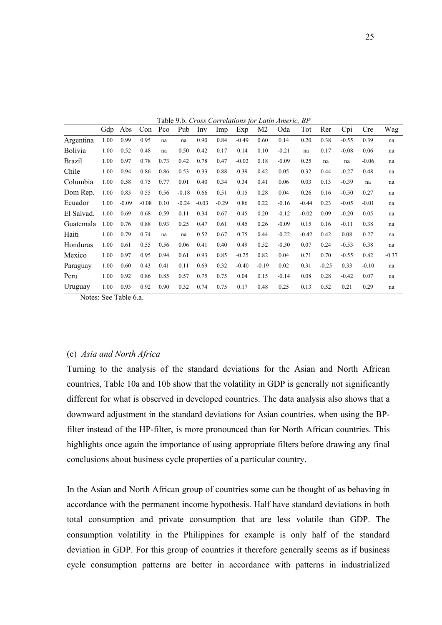|                | Gdp  | Abs     | Con     | Pco  | Pub     | Inv     | Imp     | Exp     | M2      | Oda     | Tot     | Rer     | Cpi     | Cre     | Wag     |
|----------------|------|---------|---------|------|---------|---------|---------|---------|---------|---------|---------|---------|---------|---------|---------|
| Argentina      | 1.00 | 0.99    | 0.95    | na   | na      | 0.90    | 0.84    | $-0.49$ | 0.60    | 0.14    | 0.20    | 0.38    | $-0.55$ | 0.39    | na      |
| <b>Bolivia</b> | 1.00 | 0.52    | 0.48    | na   | 0.50    | 0.42    | 0.17    | 0.14    | 0.10    | $-0.21$ | na      | 0.17    | $-0.08$ | 0.06    | na      |
| <b>Brazil</b>  | 1.00 | 0.97    | 0.78    | 0.73 | 0.42    | 0.78    | 0.47    | $-0.02$ | 0.18    | $-0.09$ | 0.25    | na      | na      | $-0.06$ | na      |
| Chile          | 1.00 | 0.94    | 0.86    | 0.86 | 0.53    | 0.33    | 0.88    | 0.39    | 0.42    | 0.05    | 0.32    | 0.44    | $-0.27$ | 0.48    | na      |
| Columbia       | 1.00 | 0.58    | 0.75    | 0.77 | 0.01    | 0.40    | 0.34    | 0.34    | 0.41    | 0.06    | 0.03    | 0.13    | $-0.39$ | na      | na      |
| Dom Rep.       | 1.00 | 0.83    | 0.55    | 0.56 | $-0.18$ | 0.66    | 0.51    | 0.15    | 0.28    | 0.04    | 0.26    | 0.16    | $-0.50$ | 0.27    | na      |
| Ecuador        | 1.00 | $-0.09$ | $-0.08$ | 0.10 | $-0.24$ | $-0.03$ | $-0.29$ | 0.86    | 0.22    | $-0.16$ | $-0.44$ | 0.23    | $-0.05$ | $-0.01$ | na      |
| El Salvad.     | 1.00 | 0.69    | 0.68    | 0.59 | 0.11    | 0.34    | 0.67    | 0.45    | 0.20    | $-0.12$ | $-0.02$ | 0.09    | $-0.20$ | 0.05    | na      |
| Guatemala      | 1.00 | 0.76    | 0.88    | 0.93 | 0.25    | 0.47    | 0.61    | 0.45    | 0.26    | $-0.09$ | 0.15    | 0.16    | $-0.11$ | 0.38    | na      |
| Haiti          | 1.00 | 0.79    | 0.74    | na   | na      | 0.52    | 0.67    | 0.75    | 0.44    | $-0.22$ | $-0.42$ | 0.42    | 0.08    | 0.27    | na      |
| Honduras       | 1.00 | 0.61    | 0.55    | 0.56 | 0.06    | 0.41    | 0.40    | 0.49    | 0.52    | $-0.30$ | 0.07    | 0.24    | $-0.53$ | 0.38    | na      |
| Mexico         | 1.00 | 0.97    | 0.95    | 0.94 | 0.61    | 0.93    | 0.85    | $-0.25$ | 0.82    | 0.04    | 0.71    | 0.70    | $-0.55$ | 0.82    | $-0.37$ |
| Paraguay       | 1.00 | 0.60    | 0.43    | 0.41 | 0.11    | 0.69    | 0.32    | $-0.40$ | $-0.19$ | 0.02    | 0.31    | $-0.25$ | 0.33    | $-0.10$ | na      |
| Peru           | 1.00 | 0.92    | 0.86    | 0.85 | 0.57    | 0.75    | 0.75    | 0.04    | 0.15    | $-0.14$ | 0.08    | 0.28    | $-0.42$ | 0.07    | na      |
| Uruguay        | 1.00 | 0.93    | 0.92    | 0.90 | 0.32    | 0.74    | 0.75    | 0.17    | 0.48    | 0.25    | 0.13    | 0.52    | 0.21    | 0.29    | na      |

Table 9.b. *Cross Correlations for Latin Americ, BP*

Notes: See Table 6.a.

# (c) *Asia and North Africa*

Turning to the analysis of the standard deviations for the Asian and North African countries, Table 10a and 10b show that the volatility in GDP is generally not significantly different for what is observed in developed countries. The data analysis also shows that a downward adjustment in the standard deviations for Asian countries, when using the BPfilter instead of the HP-filter, is more pronounced than for North African countries. This highlights once again the importance of using appropriate filters before drawing any final conclusions about business cycle properties of a particular country.

In the Asian and North African group of countries some can be thought of as behaving in accordance with the permanent income hypothesis. Half have standard deviations in both total consumption and private consumption that are less volatile than GDP. The consumption volatility in the Philippines for example is only half of the standard deviation in GDP. For this group of countries it therefore generally seems as if business cycle consumption patterns are better in accordance with patterns in industrialized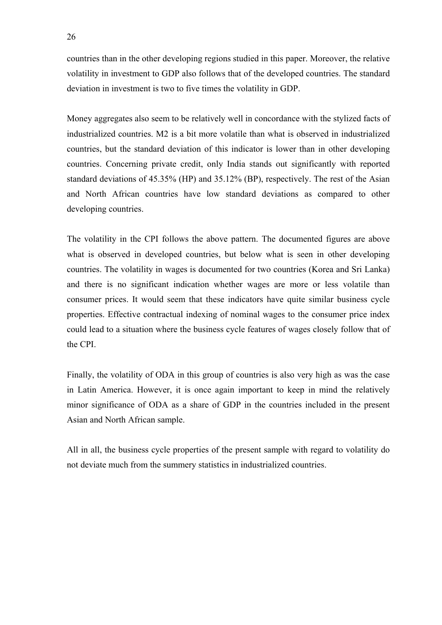countries than in the other developing regions studied in this paper. Moreover, the relative volatility in investment to GDP also follows that of the developed countries. The standard deviation in investment is two to five times the volatility in GDP.

Money aggregates also seem to be relatively well in concordance with the stylized facts of industrialized countries. M2 is a bit more volatile than what is observed in industrialized countries, but the standard deviation of this indicator is lower than in other developing countries. Concerning private credit, only India stands out significantly with reported standard deviations of 45.35% (HP) and 35.12% (BP), respectively. The rest of the Asian and North African countries have low standard deviations as compared to other developing countries.

The volatility in the CPI follows the above pattern. The documented figures are above what is observed in developed countries, but below what is seen in other developing countries. The volatility in wages is documented for two countries (Korea and Sri Lanka) and there is no significant indication whether wages are more or less volatile than consumer prices. It would seem that these indicators have quite similar business cycle properties. Effective contractual indexing of nominal wages to the consumer price index could lead to a situation where the business cycle features of wages closely follow that of the CPI.

Finally, the volatility of ODA in this group of countries is also very high as was the case in Latin America. However, it is once again important to keep in mind the relatively minor significance of ODA as a share of GDP in the countries included in the present Asian and North African sample.

All in all, the business cycle properties of the present sample with regard to volatility do not deviate much from the summery statistics in industrialized countries.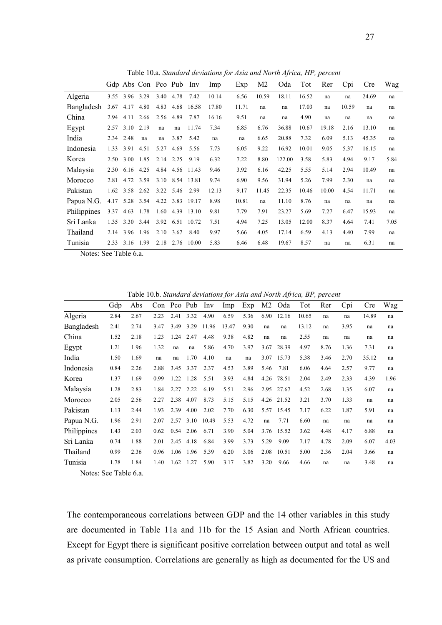|                        |      |                         | Gdp Abs Con Pco Pub |           |                 | Inv   | Imp   | Exp   | M2    | Oda    | Tot   | Rer   | Cpi   | Cre   | Wag  |
|------------------------|------|-------------------------|---------------------|-----------|-----------------|-------|-------|-------|-------|--------|-------|-------|-------|-------|------|
| Algeria                |      | 3.55 3.96 3.29          |                     | 3.40 4.78 |                 | 7.42  | 10.14 | 6.56  | 10.59 | 18.11  | 16.52 | na    | na    | 24.69 | na   |
| Bangladesh             | 3.67 | 4.17                    | 4.80                | 4.83      | 4.68            | 16.58 | 17.80 | 11.71 | na    | na     | 17.03 | na    | 10.59 | na    | na   |
| China                  |      | 2.94 4.11               | 2.66                | 2.56      | 4.89            | 7.87  | 16.16 | 9.51  | na    | na     | 4.90  | na    | na    | na    | na   |
| Egypt                  |      | $2.57$ 3.10             | 2.19                | na        | na              | 11.74 | 7.34  | 6.85  | 6.76  | 36.88  | 10.67 | 19.18 | 2.16  | 13.10 | na   |
| India                  |      | 2.34 2.48               | na                  | na        | 3.87            | 5.42  | na    | na    | 6.65  | 20.88  | 7.32  | 6.09  | 5.13  | 45.35 | na   |
| Indonesia              | 1.33 | 3.91                    | 4.51                | 5.27      | 4.69            | 5.56  | 7.73  | 6.05  | 9.22  | 16.92  | 10.01 | 9.05  | 5.37  | 16.15 | na   |
| Korea                  | 2.50 | 3.00                    | 1.85                | 2.14      | 2.25            | 9.19  | 6.32  | 7.22  | 8.80  | 122.00 | 3.58  | 5.83  | 4.94  | 9.17  | 5.84 |
| Malaysia               | 2.30 | 6.16                    | 4.25                |           | 4.84 4.56 11.43 |       | 9.46  | 3.92  | 6.16  | 42.25  | 5.55  | 5.14  | 2.94  | 10.49 | na   |
| Morocco                | 2.81 | 4.72                    | 3.59                | 3.10      | 8.54            | 13.81 | 9.74  | 6.90  | 9.56  | 31.94  | 5.26  | 7.99  | 2.30  | na    | na   |
| Pakistan               | 1.62 |                         | 3.58 2.62           | 3.22      | 5.46            | 2.99  | 12.13 | 9.17  | 11.45 | 22.35  | 10.46 | 10.00 | 4.54  | 11.71 | na   |
| Papua N.G.             | 4.17 |                         | 5.28 3.54           | 4.22      | 3.83            | 19.17 | 8.98  | 10.81 | na    | 11.10  | 8.76  | na    | na    | na    | na   |
| Philippines            | 3.37 |                         | 4.63 1.78           |           | 1.60 4.39       | 13.10 | 9.81  | 7.79  | 7.91  | 23.27  | 5.69  | 7.27  | 6.47  | 15.93 | na   |
| Sri Lanka              | 1.35 | 3.30                    | 3.44                | 3.92 6.51 |                 | 10.72 | 7.51  | 4.94  | 7.25  | 13.05  | 12.00 | 8.37  | 4.64  | 7.41  | 7.05 |
| Thailand               | 2.14 | 3.96                    | 1.96                | 2.10      | 3.67            | 8.40  | 9.97  | 5.66  | 4.05  | 17.14  | 6.59  | 4.13  | 4.40  | 7.99  | na   |
| Tunisia<br>$\sim$<br>T | 2.33 | 3.16<br>$T1$ 1 1 $\ell$ | 1.99                | 2.18      | 2.76            | 10.00 | 5.83  | 6.46  | 6.48  | 19.67  | 8.57  | na    | na    | 6.31  | na   |

Table 10.a. *Standard deviations for Asia and North Africa, HP, percent*

Notes: See Table 6.a.

Table 10.b. *Standard deviations for Asia and North Africa, BP, percent*

|             | Gdp  | Abs  | Con  |      | Pco Pub | Inv   | Imp   | Exp  | M <sub>2</sub> | Oda   | Tot   | Rer  | Cpi  | Cre   | Wag  |
|-------------|------|------|------|------|---------|-------|-------|------|----------------|-------|-------|------|------|-------|------|
| Algeria     | 2.84 | 2.67 | 2.23 | 2.41 | 3.32    | 4.90  | 6.59  | 5.36 | 6.90           | 12.16 | 10.65 | na   | na   | 14.89 | na   |
| Bangladesh  | 2.41 | 2.74 | 3.47 | 3.49 | 3.29    | 11.96 | 13.47 | 9.30 | na             | na    | 13.12 | na   | 3.95 | na    | na   |
| China       | 1.52 | 2.18 | 1.23 | 1.24 | 2.47    | 4.48  | 9.38  | 4.82 | na             | na    | 2.55  | na   | na   | na    | na   |
| Egypt       | 1.21 | 1.96 | 1.32 | na   | na      | 5.86  | 4.70  | 3.97 | 3.67           | 28.39 | 4.97  | 8.76 | 1.36 | 7.31  | na   |
| India       | 1.50 | 1.69 | na   | na   | 1.70    | 4.10  | na    | na   | 3.07           | 15.73 | 5.38  | 3.46 | 2.70 | 35.12 | na   |
| Indonesia   | 0.84 | 2.26 | 2.88 | 3.45 | 3.37    | 2.37  | 4.53  | 3.89 | 5.46           | 7.81  | 6.06  | 4.64 | 2.57 | 9.77  | na   |
| Korea       | 1.37 | 1.69 | 0.99 | 1.22 | 1.28    | 5.51  | 3.93  | 4.84 | 4.26           | 78.51 | 2.04  | 2.49 | 2.33 | 4.39  | 1.96 |
| Malaysia    | 1.28 | 2.83 | 1.84 | 2.27 | 2.22    | 6.19  | 5.51  | 2.96 | 2.95           | 27.67 | 4.52  | 2.68 | 1.35 | 6.07  | na   |
| Morocco     | 2.05 | 2.56 | 2.27 | 2.38 | 4.07    | 8.73  | 5.15  | 5.15 | 4.26           | 21.52 | 3.21  | 3.70 | 1.33 | na    | na   |
| Pakistan    | 1.13 | 2.44 | 1.93 | 2.39 | 4.00    | 2.02  | 7.70  | 6.30 | 5.57           | 15.45 | 7.17  | 6.22 | 1.87 | 5.91  | na   |
| Papua N.G.  | 1.96 | 2.91 | 2.07 | 2.57 | 3.10    | 10.49 | 5.53  | 4.72 | na             | 7.71  | 6.60  | na   | na   | na    | na   |
| Philippines | 1.43 | 2.03 | 0.62 | 0.54 | 2.06    | 6.71  | 3.90  | 5.04 | 3.76           | 15.52 | 3.62  | 4.48 | 4.17 | 6.88  | na   |
| Sri Lanka   | 0.74 | 1.88 | 2.01 | 2.45 | 4.18    | 6.84  | 3.99  | 3.73 | 5.29           | 9.09  | 7.17  | 4.78 | 2.09 | 6.07  | 4.03 |
| Thailand    | 0.99 | 2.36 | 0.96 | 1.06 | 1.96    | 5.39  | 6.20  | 3.06 | 2.08           | 10.51 | 5.00  | 2.36 | 2.04 | 3.66  | na   |
| Tunisia     | 1.78 | 1.84 | 1.40 | 1.62 | 1.27    | 5.90  | 3.17  | 3.82 | 3.20           | 9.66  | 4.66  | na   | na   | 3.48  | na   |

Notes: See Table 6.a.

The contemporaneous correlations between GDP and the 14 other variables in this study are documented in Table 11a and 11b for the 15 Asian and North African countries. Except for Egypt there is significant positive correlation between output and total as well as private consumption. Correlations are generally as high as documented for the US and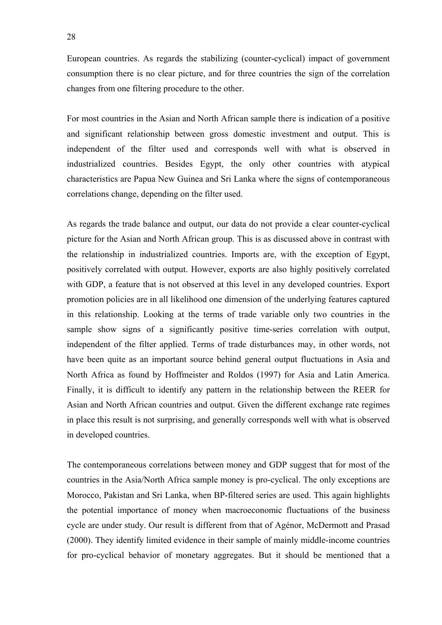European countries. As regards the stabilizing (counter-cyclical) impact of government consumption there is no clear picture, and for three countries the sign of the correlation changes from one filtering procedure to the other.

For most countries in the Asian and North African sample there is indication of a positive and significant relationship between gross domestic investment and output. This is independent of the filter used and corresponds well with what is observed in industrialized countries. Besides Egypt, the only other countries with atypical characteristics are Papua New Guinea and Sri Lanka where the signs of contemporaneous correlations change, depending on the filter used.

As regards the trade balance and output, our data do not provide a clear counter-cyclical picture for the Asian and North African group. This is as discussed above in contrast with the relationship in industrialized countries. Imports are, with the exception of Egypt, positively correlated with output. However, exports are also highly positively correlated with GDP, a feature that is not observed at this level in any developed countries. Export promotion policies are in all likelihood one dimension of the underlying features captured in this relationship. Looking at the terms of trade variable only two countries in the sample show signs of a significantly positive time-series correlation with output, independent of the filter applied. Terms of trade disturbances may, in other words, not have been quite as an important source behind general output fluctuations in Asia and North Africa as found by Hoffmeister and Roldos (1997) for Asia and Latin America. Finally, it is difficult to identify any pattern in the relationship between the REER for Asian and North African countries and output. Given the different exchange rate regimes in place this result is not surprising, and generally corresponds well with what is observed in developed countries.

The contemporaneous correlations between money and GDP suggest that for most of the countries in the Asia/North Africa sample money is pro-cyclical. The only exceptions are Morocco, Pakistan and Sri Lanka, when BP-filtered series are used. This again highlights the potential importance of money when macroeconomic fluctuations of the business cycle are under study. Our result is different from that of Agénor, McDermott and Prasad (2000). They identify limited evidence in their sample of mainly middle-income countries for pro-cyclical behavior of monetary aggregates. But it should be mentioned that a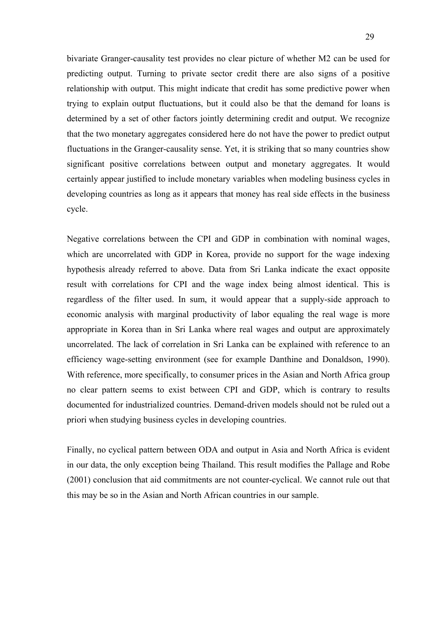bivariate Granger-causality test provides no clear picture of whether M2 can be used for predicting output. Turning to private sector credit there are also signs of a positive relationship with output. This might indicate that credit has some predictive power when trying to explain output fluctuations, but it could also be that the demand for loans is determined by a set of other factors jointly determining credit and output. We recognize that the two monetary aggregates considered here do not have the power to predict output fluctuations in the Granger-causality sense. Yet, it is striking that so many countries show significant positive correlations between output and monetary aggregates. It would certainly appear justified to include monetary variables when modeling business cycles in developing countries as long as it appears that money has real side effects in the business cycle.

Negative correlations between the CPI and GDP in combination with nominal wages, which are uncorrelated with GDP in Korea, provide no support for the wage indexing hypothesis already referred to above. Data from Sri Lanka indicate the exact opposite result with correlations for CPI and the wage index being almost identical. This is regardless of the filter used. In sum, it would appear that a supply-side approach to economic analysis with marginal productivity of labor equaling the real wage is more appropriate in Korea than in Sri Lanka where real wages and output are approximately uncorrelated. The lack of correlation in Sri Lanka can be explained with reference to an efficiency wage-setting environment (see for example Danthine and Donaldson, 1990). With reference, more specifically, to consumer prices in the Asian and North Africa group no clear pattern seems to exist between CPI and GDP, which is contrary to results documented for industrialized countries. Demand-driven models should not be ruled out a priori when studying business cycles in developing countries.

Finally, no cyclical pattern between ODA and output in Asia and North Africa is evident in our data, the only exception being Thailand. This result modifies the Pallage and Robe (2001) conclusion that aid commitments are not counter-cyclical. We cannot rule out that this may be so in the Asian and North African countries in our sample.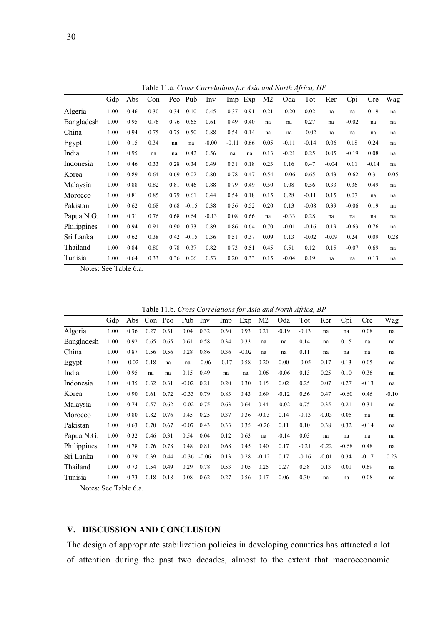|             | Gdp  | Abs  | Con  | Pco  | Pub     | Inv     | Imp.    | Exp  | M <sub>2</sub> | Oda     | Tot     | Rer     | Cpi     | Cre     | Wag  |
|-------------|------|------|------|------|---------|---------|---------|------|----------------|---------|---------|---------|---------|---------|------|
| Algeria     | 1.00 | 0.46 | 0.30 | 0.34 | 0.10    | 0.45    | 0.37    | 0.91 | 0.21           | $-0.20$ | 0.02    | na      | na      | 0.19    | na   |
| Bangladesh  | 1.00 | 0.95 | 0.76 | 0.76 | 0.65    | 0.61    | 0.49    | 0.40 | na             | na      | 0.27    | na      | $-0.02$ | na      | na   |
| China       | 1.00 | 0.94 | 0.75 | 0.75 | 0.50    | 0.88    | 0.54    | 0.14 | na             | na      | $-0.02$ | na      | na      | na      | na   |
| Egypt       | 1.00 | 0.15 | 0.34 | na   | na      | $-0.00$ | $-0.11$ | 0.66 | 0.05           | $-0.11$ | $-0.14$ | 0.06    | 0.18    | 0.24    | na   |
| India       | 1.00 | 0.95 | na   | na   | 0.42    | 0.56    | na      | na   | 0.13           | $-0.21$ | 0.25    | 0.05    | $-0.19$ | 0.08    | na   |
| Indonesia   | 1.00 | 0.46 | 0.33 | 0.28 | 0.34    | 0.49    | 0.31    | 0.18 | 0.23           | 0.16    | 0.47    | $-0.04$ | 0.11    | $-0.14$ | na   |
| Korea       | 1.00 | 0.89 | 0.64 | 0.69 | 0.02    | 0.80    | 0.78    | 0.47 | 0.54           | $-0.06$ | 0.65    | 0.43    | $-0.62$ | 0.31    | 0.05 |
| Malaysia    | 1.00 | 0.88 | 0.82 | 0.81 | 0.46    | 0.88    | 0.79    | 0.49 | 0.50           | 0.08    | 0.56    | 0.33    | 0.36    | 0.49    | na   |
| Morocco     | 1.00 | 0.81 | 0.85 | 0.79 | 0.61    | 0.44    | 0.54    | 0.18 | 0.15           | 0.28    | $-0.11$ | 0.15    | 0.07    | na      | na   |
| Pakistan    | 1.00 | 0.62 | 0.68 | 0.68 | $-0.15$ | 0.38    | 0.36    | 0.52 | 0.20           | 0.13    | $-0.08$ | 0.39    | $-0.06$ | 0.19    | na   |
| Papua N.G.  | 1.00 | 0.31 | 0.76 | 0.68 | 0.64    | $-0.13$ | 0.08    | 0.66 | na             | $-0.33$ | 0.28    | na      | na      | na      | na   |
| Philippines | 1.00 | 0.94 | 0.91 | 0.90 | 0.73    | 0.89    | 0.86    | 0.64 | 0.70           | $-0.01$ | $-0.16$ | 0.19    | $-0.63$ | 0.76    | na   |
| Sri Lanka   | 1.00 | 0.62 | 0.38 | 0.42 | $-0.15$ | 0.36    | 0.51    | 0.37 | 0.09           | 0.13    | $-0.02$ | $-0.09$ | 0.24    | 0.09    | 0.28 |
| Thailand    | 1.00 | 0.84 | 0.80 | 0.78 | 0.37    | 0.82    | 0.73    | 0.51 | 0.45           | 0.51    | 0.12    | 0.15    | $-0.07$ | 0.69    | na   |
| Tunisia     | 1.00 | 0.64 | 0.33 | 0.36 | 0.06    | 0.53    | 0.20    | 0.33 | 0.15           | $-0.04$ | 0.19    | na      | na      | 0.13    | na   |

Table 11.a. *Cross Correlations for Asia and North Africa, HP*

Notes: See Table 6.a.

Table 11.b. *Cross Correlations for Asia and North Africa, BP*

|             | Gdp  | Abs     | Con Pco |      | Pub     | Inv     | Imp     | Exp     | M2      | Oda     | Tot     | Rer     | Cpi     | Cre     | Wag     |
|-------------|------|---------|---------|------|---------|---------|---------|---------|---------|---------|---------|---------|---------|---------|---------|
| Algeria     | 1.00 | 0.36    | 0.27    | 0.31 | 0.04    | 0.32    | 0.30    | 0.93    | 0.21    | $-0.19$ | $-0.13$ | na      | na      | 0.08    | na      |
| Bangladesh  | 1.00 | 0.92    | 0.65    | 0.65 | 0.61    | 0.58    | 0.34    | 0.33    | na      | na      | 0.14    | na      | 0.15    | na      | na      |
| China       | 1.00 | 0.87    | 0.56    | 0.56 | 0.28    | 0.86    | 0.36    | $-0.02$ | na      | na      | 0.11    | na      | na      | na      | na      |
| Egypt       | 1.00 | $-0.02$ | 0.18    | na   | na      | $-0.06$ | $-0.17$ | 0.58    | 0.20    | 0.00    | $-0.05$ | 0.17    | 0.13    | 0.05    | na      |
| India       | 1.00 | 0.95    | na      | na   | 0.15    | 0.49    | na      | na      | 0.06    | $-0.06$ | 0.13    | 0.25    | 0.10    | 0.36    | na      |
| Indonesia   | 1.00 | 0.35    | 0.32    | 0.31 | $-0.02$ | 0.21    | 0.20    | 0.30    | 0.15    | 0.02    | 0.25    | 0.07    | 0.27    | $-0.13$ | na      |
| Korea       | 1.00 | 0.90    | 0.61    | 0.72 | $-0.33$ | 0.79    | 0.83    | 0.43    | 0.69    | $-0.12$ | 0.56    | 0.47    | $-0.60$ | 0.46    | $-0.10$ |
| Malaysia    | 1.00 | 0.74    | 0.57    | 0.62 | $-0.02$ | 0.75    | 0.63    | 0.64    | 0.44    | $-0.02$ | 0.75    | 0.35    | 0.21    | 0.31    | na      |
| Morocco     | 1.00 | 0.80    | 0.82    | 0.76 | 0.45    | 0.25    | 0.37    | 0.36    | $-0.03$ | 0.14    | $-0.13$ | $-0.03$ | 0.05    | na      | na      |
| Pakistan    | 1.00 | 0.63    | 0.70    | 0.67 | $-0.07$ | 0.43    | 0.33    | 0.35    | $-0.26$ | 0.11    | 0.10    | 0.38    | 0.32    | $-0.14$ | na      |
| Papua N.G.  | 1.00 | 0.32    | 0.46    | 0.31 | 0.54    | 0.04    | 0.12    | 0.63    | na      | $-0.14$ | 0.03    | na      | na      | na      | na      |
| Philippines | 1.00 | 0.78    | 0.76    | 0.78 | 0.48    | 0.81    | 0.68    | 0.45    | 0.40    | 0.17    | $-0.21$ | $-0.22$ | $-0.68$ | 0.48    | na      |
| Sri Lanka   | 1.00 | 0.29    | 0.39    | 0.44 | $-0.36$ | $-0.06$ | 0.13    | 0.28    | $-0.12$ | 0.17    | $-0.16$ | $-0.01$ | 0.34    | $-0.17$ | 0.23    |
| Thailand    | 1.00 | 0.73    | 0.54    | 0.49 | 0.29    | 0.78    | 0.53    | 0.05    | 0.25    | 0.27    | 0.38    | 0.13    | 0.01    | 0.69    | na      |
| Tunisia     | 1.00 | 0.73    | 0.18    | 0.18 | 0.08    | 0.62    | 0.27    | 0.56    | 0.17    | 0.06    | 0.30    | na      | na      | 0.08    | na      |

Notes: See Table 6.a.

### **V. DISCUSSION AND CONCLUSION**

The design of appropriate stabilization policies in developing countries has attracted a lot of attention during the past two decades, almost to the extent that macroeconomic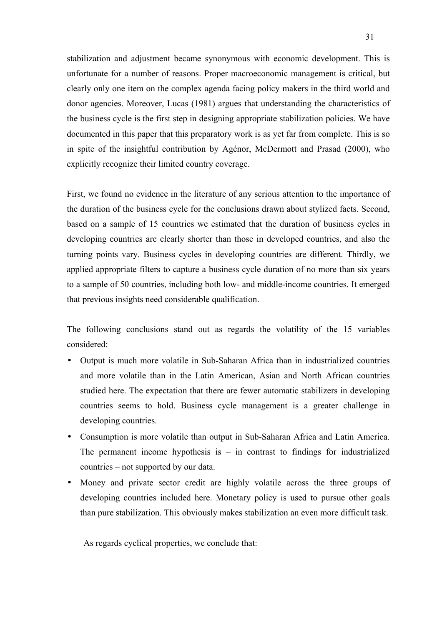stabilization and adjustment became synonymous with economic development. This is unfortunate for a number of reasons. Proper macroeconomic management is critical, but clearly only one item on the complex agenda facing policy makers in the third world and donor agencies. Moreover, Lucas (1981) argues that understanding the characteristics of the business cycle is the first step in designing appropriate stabilization policies. We have documented in this paper that this preparatory work is as yet far from complete. This is so in spite of the insightful contribution by Agénor, McDermott and Prasad (2000), who explicitly recognize their limited country coverage.

First, we found no evidence in the literature of any serious attention to the importance of the duration of the business cycle for the conclusions drawn about stylized facts. Second, based on a sample of 15 countries we estimated that the duration of business cycles in developing countries are clearly shorter than those in developed countries, and also the turning points vary. Business cycles in developing countries are different. Thirdly, we applied appropriate filters to capture a business cycle duration of no more than six years to a sample of 50 countries, including both low- and middle-income countries. It emerged that previous insights need considerable qualification.

The following conclusions stand out as regards the volatility of the 15 variables considered:

- Output is much more volatile in Sub-Saharan Africa than in industrialized countries and more volatile than in the Latin American, Asian and North African countries studied here. The expectation that there are fewer automatic stabilizers in developing countries seems to hold. Business cycle management is a greater challenge in developing countries.
- Consumption is more volatile than output in Sub-Saharan Africa and Latin America. The permanent income hypothesis is  $-$  in contrast to findings for industrialized countries – not supported by our data.
- Money and private sector credit are highly volatile across the three groups of developing countries included here. Monetary policy is used to pursue other goals than pure stabilization. This obviously makes stabilization an even more difficult task.

As regards cyclical properties, we conclude that: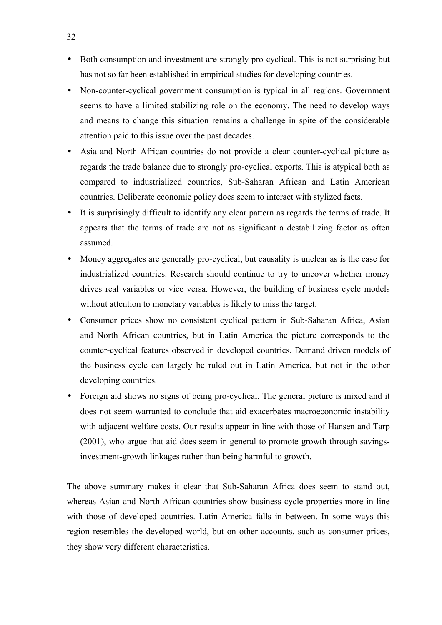- Both consumption and investment are strongly pro-cyclical. This is not surprising but has not so far been established in empirical studies for developing countries.
- Non-counter-cyclical government consumption is typical in all regions. Government seems to have a limited stabilizing role on the economy. The need to develop ways and means to change this situation remains a challenge in spite of the considerable attention paid to this issue over the past decades.
- Asia and North African countries do not provide a clear counter-cyclical picture as regards the trade balance due to strongly pro-cyclical exports. This is atypical both as compared to industrialized countries, Sub-Saharan African and Latin American countries. Deliberate economic policy does seem to interact with stylized facts.
- It is surprisingly difficult to identify any clear pattern as regards the terms of trade. It appears that the terms of trade are not as significant a destabilizing factor as often assumed.
- Money aggregates are generally pro-cyclical, but causality is unclear as is the case for industrialized countries. Research should continue to try to uncover whether money drives real variables or vice versa. However, the building of business cycle models without attention to monetary variables is likely to miss the target.
- Consumer prices show no consistent cyclical pattern in Sub-Saharan Africa, Asian and North African countries, but in Latin America the picture corresponds to the counter-cyclical features observed in developed countries. Demand driven models of the business cycle can largely be ruled out in Latin America, but not in the other developing countries.
- Foreign aid shows no signs of being pro-cyclical. The general picture is mixed and it does not seem warranted to conclude that aid exacerbates macroeconomic instability with adjacent welfare costs. Our results appear in line with those of Hansen and Tarp (2001), who argue that aid does seem in general to promote growth through savingsinvestment-growth linkages rather than being harmful to growth.

The above summary makes it clear that Sub-Saharan Africa does seem to stand out, whereas Asian and North African countries show business cycle properties more in line with those of developed countries. Latin America falls in between. In some ways this region resembles the developed world, but on other accounts, such as consumer prices, they show very different characteristics.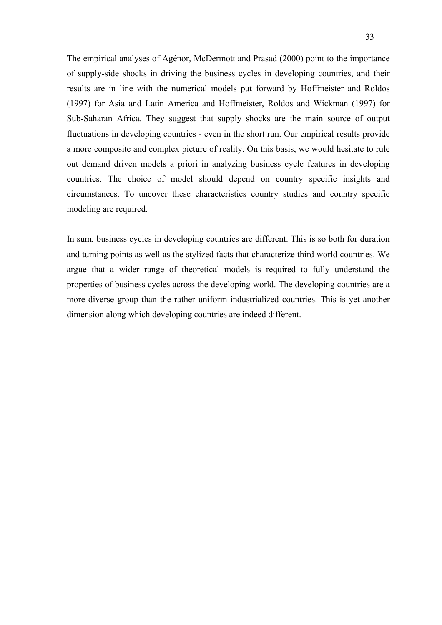The empirical analyses of Agénor, McDermott and Prasad (2000) point to the importance of supply-side shocks in driving the business cycles in developing countries, and their results are in line with the numerical models put forward by Hoffmeister and Roldos (1997) for Asia and Latin America and Hoffmeister, Roldos and Wickman (1997) for Sub-Saharan Africa. They suggest that supply shocks are the main source of output fluctuations in developing countries - even in the short run. Our empirical results provide a more composite and complex picture of reality. On this basis, we would hesitate to rule out demand driven models a priori in analyzing business cycle features in developing countries. The choice of model should depend on country specific insights and circumstances. To uncover these characteristics country studies and country specific modeling are required.

In sum, business cycles in developing countries are different. This is so both for duration and turning points as well as the stylized facts that characterize third world countries. We argue that a wider range of theoretical models is required to fully understand the properties of business cycles across the developing world. The developing countries are a more diverse group than the rather uniform industrialized countries. This is yet another dimension along which developing countries are indeed different.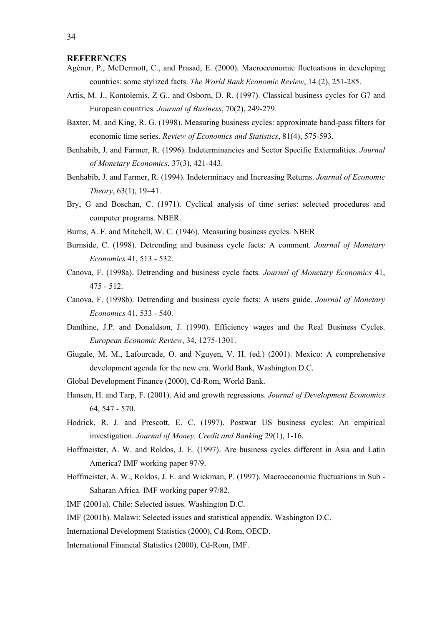#### **REFERENCES**

- Agénor, P., McDermott, C., and Prasad, E. (2000). Macroeconomic fluctuations in developing countries: some stylized facts. *The World Bank Economic Review*, 14 (2), 251-285.
- Artis, M. J., Kontolemis, Z G., and Osborn, D. R. (1997). Classical business cycles for G7 and European countries. *Journal of Business*, 70(2), 249-279.
- Baxter, M. and King, R. G. (1998). Measuring business cycles: approximate band-pass filters for economic time series. *Review of Economics and Statistics*, 81(4), 575-593.
- Benhabib, J. and Farmer, R. (1996). Indeterminancies and Sector Specific Externalities. *Journal of Monetary Economics*, 37(3), 421-443.
- Benhabib, J. and Farmer, R. (1994). Indeterminacy and Increasing Returns. *Journal of Economic Theory*, 63(1), 19–41.
- Bry, G and Boschan, C. (1971). Cyclical analysis of time series: selected procedures and computer programs. NBER.
- Burns, A. F. and Mitchell, W. C. (1946). Measuring business cycles. NBER
- Burnside, C. (1998). Detrending and business cycle facts: A comment. *Journal of Monetary Economics* 41, 513 - 532.
- Canova, F. (1998a). Detrending and business cycle facts. *Journal of Monetary Economics* 41, 475 - 512.
- Canova, F. (1998b). Detrending and business cycle facts: A users guide. *Journal of Monetary Economics* 41, 533 - 540.
- Danthine, J.P. and Donaldson, J. (1990). Efficiency wages and the Real Business Cycles. *European Economic Review*, 34, 1275-1301.
- Giugale, M. M., Lafourcade, O. and Nguyen, V. H. (ed.) (2001). Mexico: A comprehensive development agenda for the new era. World Bank, Washington D.C.
- Global Development Finance (2000), Cd-Rom, World Bank.
- Hansen, H. and Tarp, F. (2001). Aid and growth regressions. *Journal of Development Economics* 64, 547 - 570.
- Hodrick, R. J. and Prescott, E. C. (1997). Postwar US business cycles: An empirical investigation. *Journal of Money, Credit and Banking* 29(1), 1-16.
- Hoffmeister, A. W. and Roldos, J. E. (1997). Are business cycles different in Asia and Latin America? IMF working paper 97/9.
- Hoffmeister, A. W., Roldos, J. E. and Wickman, P. (1997). Macroeconomic fluctuations in Sub Saharan Africa. IMF working paper 97/82.
- IMF (2001a). Chile: Selected issues. Washington D.C.

IMF (2001b). Malawi: Selected issues and statistical appendix. Washington D.C.

International Development Statistics (2000), Cd-Rom, OECD.

International Financial Statistics (2000), Cd-Rom, IMF.